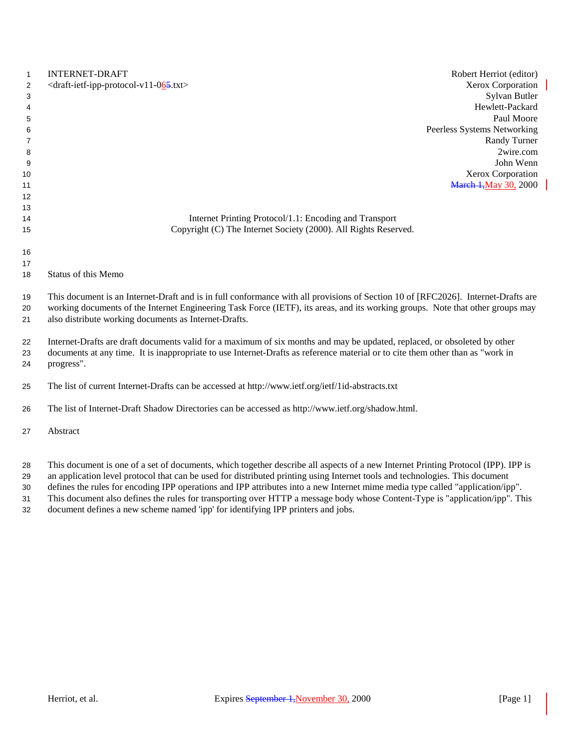| 1<br>2<br>3<br>4<br>5 | <b>INTERNET-DRAFT</b><br>Robert Herriot (editor)<br><draft-ietf-ipp-protocol-v11-065.txt><br/>Xerox Corporation<br/>Sylvan Butler<br/>Hewlett-Packard<br/>Paul Moore</draft-ietf-ipp-protocol-v11-065.txt>                                                                                                                   |
|-----------------------|------------------------------------------------------------------------------------------------------------------------------------------------------------------------------------------------------------------------------------------------------------------------------------------------------------------------------|
| 6                     | Peerless Systems Networking                                                                                                                                                                                                                                                                                                  |
| 7                     | Randy Turner                                                                                                                                                                                                                                                                                                                 |
| 8                     | 2wire.com                                                                                                                                                                                                                                                                                                                    |
| 9                     | John Wenn<br>Xerox Corporation                                                                                                                                                                                                                                                                                               |
| 10<br>11              | <b>March 1, May 30, 2000</b>                                                                                                                                                                                                                                                                                                 |
| 12                    |                                                                                                                                                                                                                                                                                                                              |
| 13                    |                                                                                                                                                                                                                                                                                                                              |
| 14                    | Internet Printing Protocol/1.1: Encoding and Transport                                                                                                                                                                                                                                                                       |
| 15                    | Copyright (C) The Internet Society (2000). All Rights Reserved.                                                                                                                                                                                                                                                              |
|                       |                                                                                                                                                                                                                                                                                                                              |
| 16                    |                                                                                                                                                                                                                                                                                                                              |
| 17                    |                                                                                                                                                                                                                                                                                                                              |
| 18                    | Status of this Memo                                                                                                                                                                                                                                                                                                          |
| 19<br>20<br>21        | This document is an Internet-Draft and is in full conformance with all provisions of Section 10 of [RFC2026]. Internet-Drafts are<br>working documents of the Internet Engineering Task Force (IETF), its areas, and its working groups. Note that other groups may<br>also distribute working documents as Internet-Drafts. |
| 22<br>23<br>24        | Internet-Drafts are draft documents valid for a maximum of six months and may be updated, replaced, or obsoleted by other<br>documents at any time. It is inappropriate to use Internet-Drafts as reference material or to cite them other than as "work in<br>progress".                                                    |
| 25                    | The list of current Internet-Drafts can be accessed at http://www.ietf.org/ietf/1id-abstracts.txt                                                                                                                                                                                                                            |
| 26                    | The list of Internet-Draft Shadow Directories can be accessed as http://www.ietf.org/shadow.html.                                                                                                                                                                                                                            |
| 27                    | Abstract                                                                                                                                                                                                                                                                                                                     |
|                       |                                                                                                                                                                                                                                                                                                                              |

This document is one of a set of documents, which together describe all aspects of a new Internet Printing Protocol (IPP). IPP is

an application level protocol that can be used for distributed printing using Internet tools and technologies. This document

 defines the rules for encoding IPP operations and IPP attributes into a new Internet mime media type called "application/ipp". This document also defines the rules for transporting over HTTP a message body whose Content-Type is "application/ipp". This

document defines a new scheme named 'ipp' for identifying IPP printers and jobs.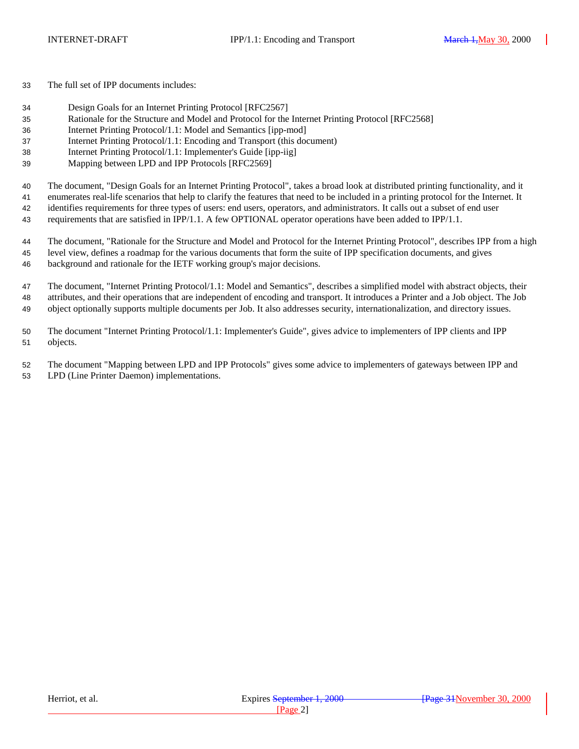The full set of IPP documents includes:

- Design Goals for an Internet Printing Protocol [RFC2567]
- Rationale for the Structure and Model and Protocol for the Internet Printing Protocol [RFC2568]
- Internet Printing Protocol/1.1: Model and Semantics [ipp-mod]
- Internet Printing Protocol/1.1: Encoding and Transport (this document)
- Internet Printing Protocol/1.1: Implementer's Guide [ipp-iig]
- Mapping between LPD and IPP Protocols [RFC2569]

The document, "Design Goals for an Internet Printing Protocol", takes a broad look at distributed printing functionality, and it

enumerates real-life scenarios that help to clarify the features that need to be included in a printing protocol for the Internet. It

identifies requirements for three types of users: end users, operators, and administrators. It calls out a subset of end user

requirements that are satisfied in IPP/1.1. A few OPTIONAL operator operations have been added to IPP/1.1.

 The document, "Rationale for the Structure and Model and Protocol for the Internet Printing Protocol", describes IPP from a high level view, defines a roadmap for the various documents that form the suite of IPP specification documents, and gives background and rationale for the IETF working group's major decisions.

 The document, "Internet Printing Protocol/1.1: Model and Semantics", describes a simplified model with abstract objects, their attributes, and their operations that are independent of encoding and transport. It introduces a Printer and a Job object. The Job object optionally supports multiple documents per Job. It also addresses security, internationalization, and directory issues.

 The document "Internet Printing Protocol/1.1: Implementer's Guide", gives advice to implementers of IPP clients and IPP objects.

 The document "Mapping between LPD and IPP Protocols" gives some advice to implementers of gateways between IPP and LPD (Line Printer Daemon) implementations.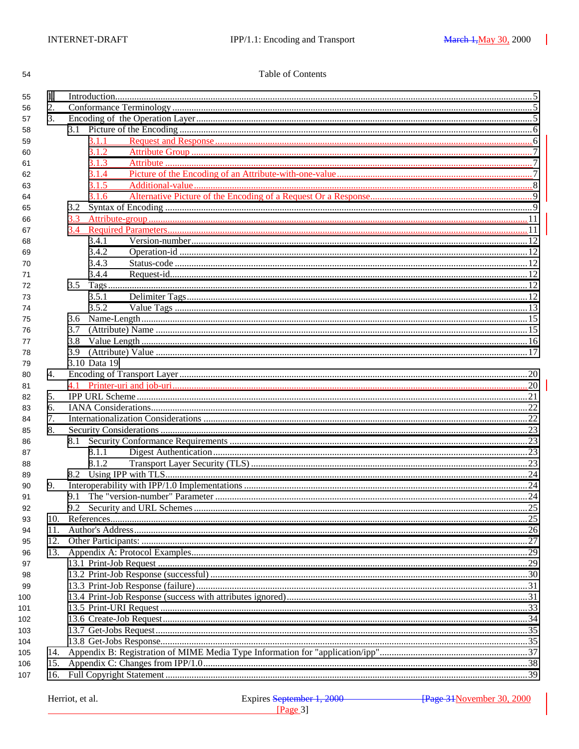54

### Table of Contents

| 2.<br>56<br>3.<br>57<br>58<br>3.1.1<br>59<br>3.1.2<br>60<br>3.1.3<br>61<br>3.1.4<br>62<br>3.1.5<br>63<br>3.1.6<br>64<br>65<br>66<br>67<br>3.4.1<br>68<br>3.4.2<br>69<br>3.4.3<br>70<br>3.4.4<br>71<br>72<br>3.5.1<br>73<br>3.5.2<br>74<br>75<br>3.7<br>76<br>3.8<br>77<br>3.9<br>78<br>3.10 Data 19<br>79<br>4.<br>80<br>81<br>5.<br>82<br>6.<br>83<br>7.<br>84<br>8.<br>85<br>8.1<br>86<br>8.1.1<br>87<br>8.1.2<br>88<br>89<br>9.<br>90<br>91<br>92<br>10.<br>93<br>11.<br>94<br>12.<br>95<br>13.<br>96<br>97<br>98<br>99<br>100<br>101<br>102<br>103<br>104<br>105<br>14.<br>15.<br>106<br>16.<br>107 | 55 | 1. |  |  |  |  |  |
|---------------------------------------------------------------------------------------------------------------------------------------------------------------------------------------------------------------------------------------------------------------------------------------------------------------------------------------------------------------------------------------------------------------------------------------------------------------------------------------------------------------------------------------------------------------------------------------------------------|----|----|--|--|--|--|--|
|                                                                                                                                                                                                                                                                                                                                                                                                                                                                                                                                                                                                         |    |    |  |  |  |  |  |
|                                                                                                                                                                                                                                                                                                                                                                                                                                                                                                                                                                                                         |    |    |  |  |  |  |  |
|                                                                                                                                                                                                                                                                                                                                                                                                                                                                                                                                                                                                         |    |    |  |  |  |  |  |
|                                                                                                                                                                                                                                                                                                                                                                                                                                                                                                                                                                                                         |    |    |  |  |  |  |  |
|                                                                                                                                                                                                                                                                                                                                                                                                                                                                                                                                                                                                         |    |    |  |  |  |  |  |
|                                                                                                                                                                                                                                                                                                                                                                                                                                                                                                                                                                                                         |    |    |  |  |  |  |  |
|                                                                                                                                                                                                                                                                                                                                                                                                                                                                                                                                                                                                         |    |    |  |  |  |  |  |
|                                                                                                                                                                                                                                                                                                                                                                                                                                                                                                                                                                                                         |    |    |  |  |  |  |  |
|                                                                                                                                                                                                                                                                                                                                                                                                                                                                                                                                                                                                         |    |    |  |  |  |  |  |
|                                                                                                                                                                                                                                                                                                                                                                                                                                                                                                                                                                                                         |    |    |  |  |  |  |  |
|                                                                                                                                                                                                                                                                                                                                                                                                                                                                                                                                                                                                         |    |    |  |  |  |  |  |
|                                                                                                                                                                                                                                                                                                                                                                                                                                                                                                                                                                                                         |    |    |  |  |  |  |  |
|                                                                                                                                                                                                                                                                                                                                                                                                                                                                                                                                                                                                         |    |    |  |  |  |  |  |
|                                                                                                                                                                                                                                                                                                                                                                                                                                                                                                                                                                                                         |    |    |  |  |  |  |  |
|                                                                                                                                                                                                                                                                                                                                                                                                                                                                                                                                                                                                         |    |    |  |  |  |  |  |
|                                                                                                                                                                                                                                                                                                                                                                                                                                                                                                                                                                                                         |    |    |  |  |  |  |  |
|                                                                                                                                                                                                                                                                                                                                                                                                                                                                                                                                                                                                         |    |    |  |  |  |  |  |
|                                                                                                                                                                                                                                                                                                                                                                                                                                                                                                                                                                                                         |    |    |  |  |  |  |  |
|                                                                                                                                                                                                                                                                                                                                                                                                                                                                                                                                                                                                         |    |    |  |  |  |  |  |
|                                                                                                                                                                                                                                                                                                                                                                                                                                                                                                                                                                                                         |    |    |  |  |  |  |  |
|                                                                                                                                                                                                                                                                                                                                                                                                                                                                                                                                                                                                         |    |    |  |  |  |  |  |
|                                                                                                                                                                                                                                                                                                                                                                                                                                                                                                                                                                                                         |    |    |  |  |  |  |  |
|                                                                                                                                                                                                                                                                                                                                                                                                                                                                                                                                                                                                         |    |    |  |  |  |  |  |
|                                                                                                                                                                                                                                                                                                                                                                                                                                                                                                                                                                                                         |    |    |  |  |  |  |  |
|                                                                                                                                                                                                                                                                                                                                                                                                                                                                                                                                                                                                         |    |    |  |  |  |  |  |
|                                                                                                                                                                                                                                                                                                                                                                                                                                                                                                                                                                                                         |    |    |  |  |  |  |  |
|                                                                                                                                                                                                                                                                                                                                                                                                                                                                                                                                                                                                         |    |    |  |  |  |  |  |
|                                                                                                                                                                                                                                                                                                                                                                                                                                                                                                                                                                                                         |    |    |  |  |  |  |  |
|                                                                                                                                                                                                                                                                                                                                                                                                                                                                                                                                                                                                         |    |    |  |  |  |  |  |
|                                                                                                                                                                                                                                                                                                                                                                                                                                                                                                                                                                                                         |    |    |  |  |  |  |  |
|                                                                                                                                                                                                                                                                                                                                                                                                                                                                                                                                                                                                         |    |    |  |  |  |  |  |
|                                                                                                                                                                                                                                                                                                                                                                                                                                                                                                                                                                                                         |    |    |  |  |  |  |  |
|                                                                                                                                                                                                                                                                                                                                                                                                                                                                                                                                                                                                         |    |    |  |  |  |  |  |
|                                                                                                                                                                                                                                                                                                                                                                                                                                                                                                                                                                                                         |    |    |  |  |  |  |  |
|                                                                                                                                                                                                                                                                                                                                                                                                                                                                                                                                                                                                         |    |    |  |  |  |  |  |
|                                                                                                                                                                                                                                                                                                                                                                                                                                                                                                                                                                                                         |    |    |  |  |  |  |  |
|                                                                                                                                                                                                                                                                                                                                                                                                                                                                                                                                                                                                         |    |    |  |  |  |  |  |
|                                                                                                                                                                                                                                                                                                                                                                                                                                                                                                                                                                                                         |    |    |  |  |  |  |  |
|                                                                                                                                                                                                                                                                                                                                                                                                                                                                                                                                                                                                         |    |    |  |  |  |  |  |
|                                                                                                                                                                                                                                                                                                                                                                                                                                                                                                                                                                                                         |    |    |  |  |  |  |  |
|                                                                                                                                                                                                                                                                                                                                                                                                                                                                                                                                                                                                         |    |    |  |  |  |  |  |
|                                                                                                                                                                                                                                                                                                                                                                                                                                                                                                                                                                                                         |    |    |  |  |  |  |  |
|                                                                                                                                                                                                                                                                                                                                                                                                                                                                                                                                                                                                         |    |    |  |  |  |  |  |
|                                                                                                                                                                                                                                                                                                                                                                                                                                                                                                                                                                                                         |    |    |  |  |  |  |  |
|                                                                                                                                                                                                                                                                                                                                                                                                                                                                                                                                                                                                         |    |    |  |  |  |  |  |
|                                                                                                                                                                                                                                                                                                                                                                                                                                                                                                                                                                                                         |    |    |  |  |  |  |  |
|                                                                                                                                                                                                                                                                                                                                                                                                                                                                                                                                                                                                         |    |    |  |  |  |  |  |
|                                                                                                                                                                                                                                                                                                                                                                                                                                                                                                                                                                                                         |    |    |  |  |  |  |  |
|                                                                                                                                                                                                                                                                                                                                                                                                                                                                                                                                                                                                         |    |    |  |  |  |  |  |
|                                                                                                                                                                                                                                                                                                                                                                                                                                                                                                                                                                                                         |    |    |  |  |  |  |  |
|                                                                                                                                                                                                                                                                                                                                                                                                                                                                                                                                                                                                         |    |    |  |  |  |  |  |
|                                                                                                                                                                                                                                                                                                                                                                                                                                                                                                                                                                                                         |    |    |  |  |  |  |  |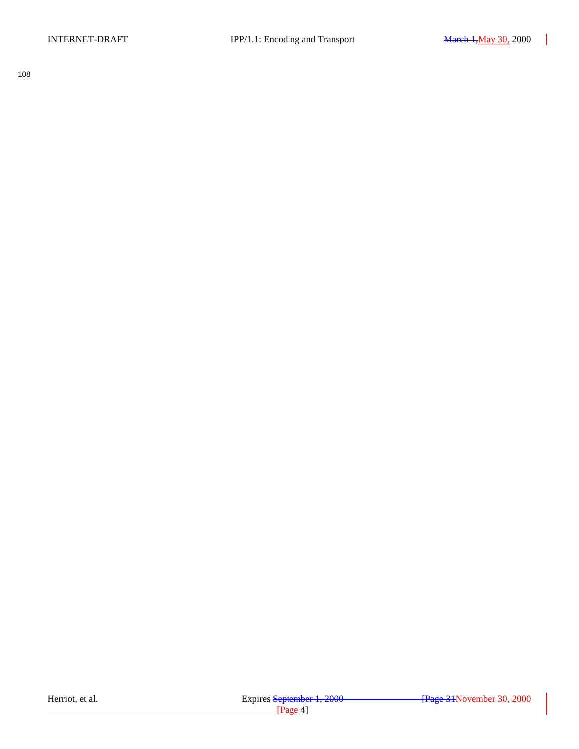108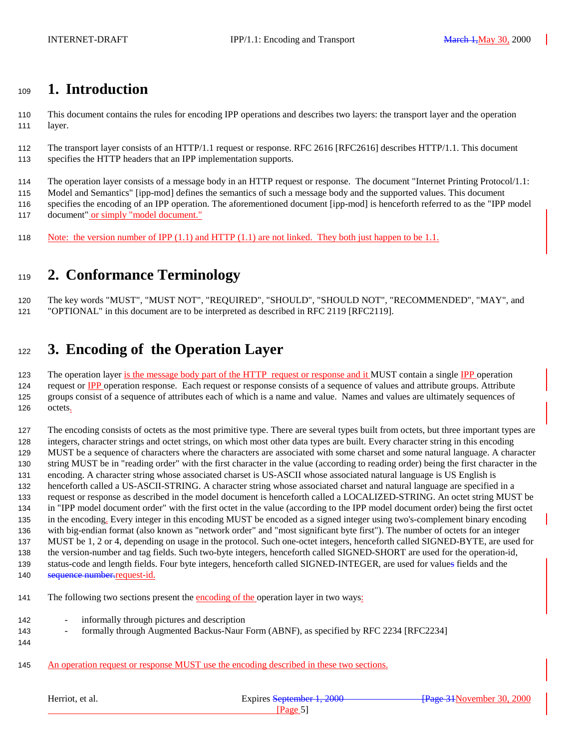### <span id="page-4-0"></span>**1. Introduction**

 This document contains the rules for encoding IPP operations and describes two layers: the transport layer and the operation layer.

 The transport layer consists of an HTTP/1.1 request or response. RFC 2616 [RFC2616] describes HTTP/1.1. This document specifies the HTTP headers that an IPP implementation supports.

The operation layer consists of a message body in an HTTP request or response. The document "Internet Printing Protocol/1.1:

 Model and Semantics" [ipp-mod] defines the semantics of such a message body and the supported values. This document specifies the encoding of an IPP operation. The aforementioned document [ipp-mod] is henceforth referred to as the "IPP model

117 document" or simply "model document."

Note: the version number of IPP (1.1) and HTTP (1.1) are not linked. They both just happen to be 1.1.

# **2. Conformance Terminology**

 The key words "MUST", "MUST NOT", "REQUIRED", "SHOULD", "SHOULD NOT", "RECOMMENDED", "MAY", and "OPTIONAL" in this document are to be interpreted as described in RFC 2119 [RFC2119].

# **3. Encoding of the Operation Layer**

123 The operation layer is the message body part of the HTTP request or response and it MUST contain a single IPP operation 124 request or IPP operation response. Each request or response consists of a sequence of values and attribute groups. Attribute groups consist of a sequence of attributes each of which is a name and value. Names and values are ultimately sequences of octets.

 The encoding consists of octets as the most primitive type. There are several types built from octets, but three important types are integers, character strings and octet strings, on which most other data types are built. Every character string in this encoding MUST be a sequence of characters where the characters are associated with some charset and some natural language. A character string MUST be in "reading order" with the first character in the value (according to reading order) being the first character in the encoding. A character string whose associated charset is US-ASCII whose associated natural language is US English is henceforth called a US-ASCII-STRING. A character string whose associated charset and natural language are specified in a request or response as described in the model document is henceforth called a LOCALIZED-STRING. An octet string MUST be in "IPP model document order" with the first octet in the value (according to the IPP model document order) being the first octet in the encoding. Every integer in this encoding MUST be encoded as a signed integer using two's-complement binary encoding with big-endian format (also known as "network order" and "most significant byte first"). The number of octets for an integer MUST be 1, 2 or 4, depending on usage in the protocol. Such one-octet integers, henceforth called SIGNED-BYTE, are used for the version-number and tag fields. Such two-byte integers, henceforth called SIGNED-SHORT are used for the operation-id, status-code and length fields. Four byte integers, henceforth called SIGNED-INTEGER, are used for values fields and the 140 sequence number-request-id.

141 The following two sections present the encoding of the operation layer in two ways:

- informally through pictures and description
- **formally through Augmented Backus-Naur Form (ABNF), as specified by RFC 2234 [RFC2234]**
- 

An operation request or response MUST use the encoding described in these two sections.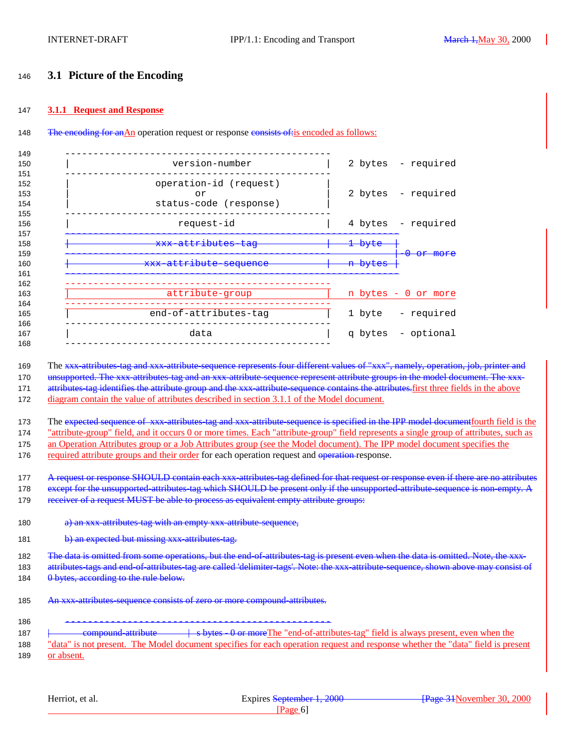#### <span id="page-5-0"></span><sup>146</sup> **3.1 Picture of the Encoding**

#### 147 **3.1.1 Request and Response**

#### 148 The encoding for anAn operation request or response consists of is encoded as follows:

| 149                      |                                                        |                                          |
|--------------------------|--------------------------------------------------------|------------------------------------------|
| 150                      | version-number                                         | 2 bytes - required                       |
| 151<br>152<br>153<br>154 | operation-id (request)<br>or<br>status-code (response) | 2 bytes - required                       |
| 155<br>156               | request-id                                             | 4 bytes - required                       |
| 157<br>158               | <del>xxx-attributes-tag</del>                          | <del>1 bvte</del>                        |
| 159<br>160               | <del>xxx-attribute-sequence</del>                      | <del>0 or more</del><br><del>bytes</del> |
| 161<br>162<br>163<br>164 | attribute-group                                        | n bytes - 0 or more                      |
| 165                      | end-of-attributes-tag                                  | - required<br>1 byte                     |
| 166<br>167<br>168        | data                                                   | q bytes - optional                       |
|                          |                                                        |                                          |

169 The xxx attributes tag and xxx attribute sequence represents four different values of "xxx", namely, operation, job, printer and 170 unsupported. The xxx attributes tag and an xxx attribute sequence represent attribute groups in the model document. The xxx-171 attributes tag identifies the attribute group and the xxx attribute sequence contains the attributes. first three fields in the above 172 diagram contain the value of attributes described in section 3.1.1 of the Model document.

173 The expected sequence of xxx attributes tag and xxx attribute sequence is specified in the IPP model document fourth field is the 174 "attribute-group" field, and it occurs 0 or more times. Each "attribute-group" field represents a single group of attributes, such as 175 an Operation Attributes group or a Job Attributes group (see the Model document). The IPP model document specifies the 176 required attribute groups and their order for each operation request and operation response.

177 A request or response SHOULD contain each xxx attributes tag defined for that request or response even if there are no attributes 178 except for the unsupported-attributes-tag which SHOULD be present only if the unsupported-attribute-sequence is non-empty. A 179 receiver of a request MUST be able to process as equivalent empty attribute groups:

- 180 a) an xxx attributes tag with an empty xxx attribute-sequence,
- 181 b) an expected but missing xxx attributes tag.

182 The data is omitted from some operations, but the end-of-attributes-tag is present even when the data is omitted. Note, the xxx-183 attributes-tags and end-of-attributes-tag are called 'delimiter-tags'. Note: the xxx-attribute-sequence, shown above may consist of 184 0 bytes, according to the rule below.

185 An xxx attributes-sequence consists of zero or more compound attributes.

186 ----------------------------------------------- 187 <del>| compound attribute | s bytes 0 or more</del>The "end-of-attributes-tag" field is always present, even when the 188 "data" is not present. The Model document specifies for each operation request and response whether the "data" field is present 189 or absent.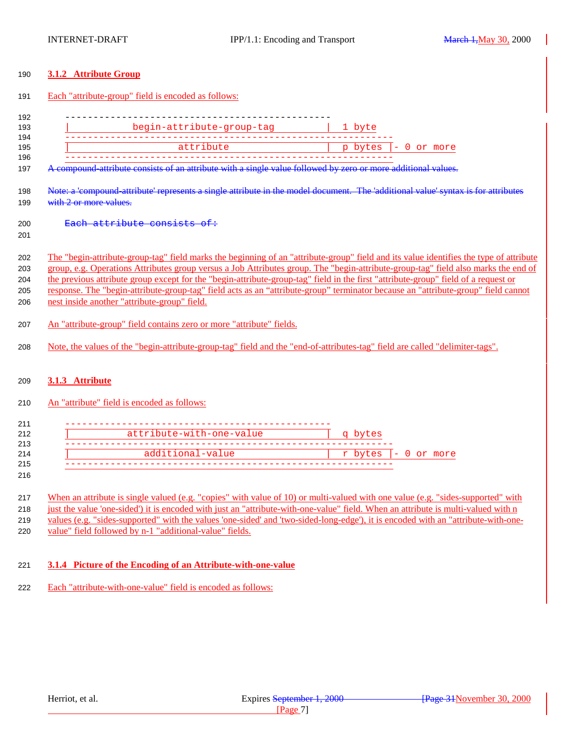#### <span id="page-6-0"></span>**3.1.2 Attribute Group**

#### Each "attribute-group" field is encoded as follows:

| 192 |                           |                         |
|-----|---------------------------|-------------------------|
| 193 | begin-attribute-group-tag | 1 byte                  |
| 194 |                           |                         |
| 195 | attribute                 | $p$ bytes $ -0$ or more |
| 196 |                           |                         |

197 A compound attribute consists of an attribute with a single value followed by zero or more additional values.

 Note: a 'compound-attribute' represents a single attribute in the model document. The 'additional value' syntax is for attributes 199 with 2 or more values.

- 200 Each attribute consists of:
- 

 The "begin-attribute-group-tag" field marks the beginning of an "attribute-group" field and its value identifies the type of attribute group, e.g. Operations Attributes group versus a Job Attributes group. The "begin-attribute-group-tag" field also marks the end of the previous attribute group except for the "begin-attribute-group-tag" field in the first "attribute-group" field of a request or response. The "begin-attribute-group-tag" field acts as an "attribute-group" terminator because an "attribute-group" field cannot nest inside another "attribute-group" field.

- An "attribute-group" field contains zero or more "attribute" fields.
- Note, the values of the "begin-attribute-group-tag" field and the "end-of-attributes-tag" field are called "delimiter-tags".

#### **3.1.3 Attribute**

#### An "attribute" field is encoded as follows:

| attribute-with-one-value | g bytes                 |
|--------------------------|-------------------------|
|                          |                         |
| additional-value         | $r$ bytes $ -0$ or more |

#### 

217 When an attribute is single valued (e.g. "copies" with value of 10) or multi-valued with one value (e.g. "sides-supported" with just the value 'one-sided') it is encoded with just an "attribute-with-one-value" field. When an attribute is multi-valued with n 219 values (e.g. "sides-supported" with the values 'one-sided' and 'two-sided-long-edge'), it is encoded with an "attribute-with-one-value" field followed by n-1 "additional-value" fields.

#### **3.1.4 Picture of the Encoding of an Attribute-with-one-value**

Each "attribute-with-one-value" field is encoded as follows: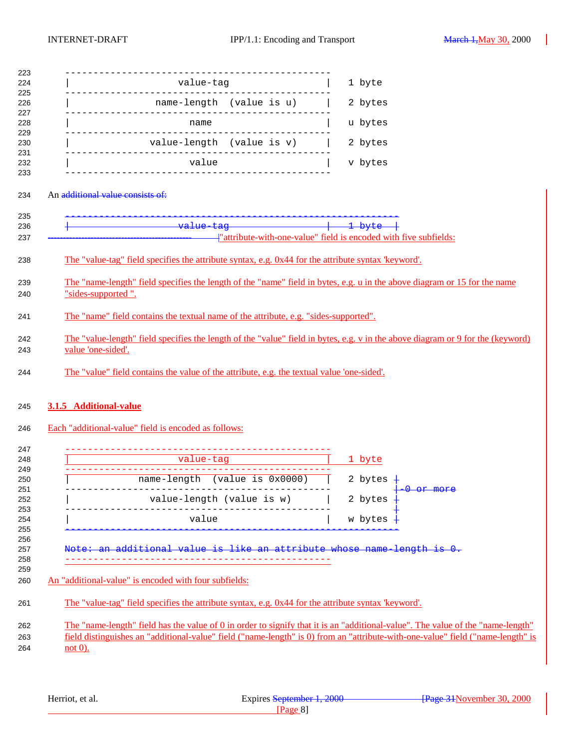<span id="page-7-0"></span>

|                                                                                                     |                          | 1 byte                                                                                                                                                                                                                                                             |
|-----------------------------------------------------------------------------------------------------|--------------------------|--------------------------------------------------------------------------------------------------------------------------------------------------------------------------------------------------------------------------------------------------------------------|
|                                                                                                     | name-length (value is u) | 2 bytes                                                                                                                                                                                                                                                            |
|                                                                                                     |                          |                                                                                                                                                                                                                                                                    |
|                                                                                                     |                          | u bytes                                                                                                                                                                                                                                                            |
| <br>  value-length (value is v)  <br>--------------------------                                     |                          | 2 bytes                                                                                                                                                                                                                                                            |
|                                                                                                     |                          | v bytes                                                                                                                                                                                                                                                            |
|                                                                                                     |                          |                                                                                                                                                                                                                                                                    |
| An additional value consists of:                                                                    |                          |                                                                                                                                                                                                                                                                    |
|                                                                                                     |                          |                                                                                                                                                                                                                                                                    |
|                                                                                                     |                          | "attribute-with-one-value" field is encoded with five subfields:                                                                                                                                                                                                   |
| The "value-tag" field specifies the attribute syntax, e.g. 0x44 for the attribute syntax 'keyword'. |                          |                                                                                                                                                                                                                                                                    |
| "sides-supported".                                                                                  |                          | The "name-length" field specifies the length of the "name" field in bytes, e.g. u in the above diagram or 15 for the name                                                                                                                                          |
|                                                                                                     |                          |                                                                                                                                                                                                                                                                    |
| The "name" field contains the textual name of the attribute, e.g. "sides-supported".                |                          |                                                                                                                                                                                                                                                                    |
|                                                                                                     |                          | The "value-length" field specifies the length of the "value" field in bytes, e.g. v in the above diagram or 9 for the (keyword)                                                                                                                                    |
| value 'one-sided'.                                                                                  |                          |                                                                                                                                                                                                                                                                    |
| The "value" field contains the value of the attribute, e.g. the textual value 'one-sided'.          |                          |                                                                                                                                                                                                                                                                    |
|                                                                                                     |                          |                                                                                                                                                                                                                                                                    |
| 3.1.5 Additional-value                                                                              |                          |                                                                                                                                                                                                                                                                    |
|                                                                                                     |                          |                                                                                                                                                                                                                                                                    |
| Each "additional-value" field is encoded as follows:                                                |                          |                                                                                                                                                                                                                                                                    |
|                                                                                                     |                          |                                                                                                                                                                                                                                                                    |
|                                                                                                     |                          | 1 byte                                                                                                                                                                                                                                                             |
| name-length (value is 0x0000)                                                                       |                          | 2 bytes                                                                                                                                                                                                                                                            |
| value-length (value is w)                                                                           |                          | 2 bytes                                                                                                                                                                                                                                                            |
| value                                                                                               |                          | w bytes                                                                                                                                                                                                                                                            |
|                                                                                                     |                          |                                                                                                                                                                                                                                                                    |
| ditional value is like an attribute whose                                                           |                          |                                                                                                                                                                                                                                                                    |
|                                                                                                     |                          |                                                                                                                                                                                                                                                                    |
| An "additional-value" is encoded with four subfields:                                               |                          |                                                                                                                                                                                                                                                                    |
| The "value-tag" field specifies the attribute syntax, e.g. 0x44 for the attribute syntax "keyword". |                          |                                                                                                                                                                                                                                                                    |
|                                                                                                     |                          |                                                                                                                                                                                                                                                                    |
|                                                                                                     |                          | The "name-length" field has the value of 0 in order to signify that it is an "additional-value". The value of the "name-length"<br>field distinguishes an "additional-value" field ("name-length" is 0) from an "attribute-with-one-value" field ("name-length" is |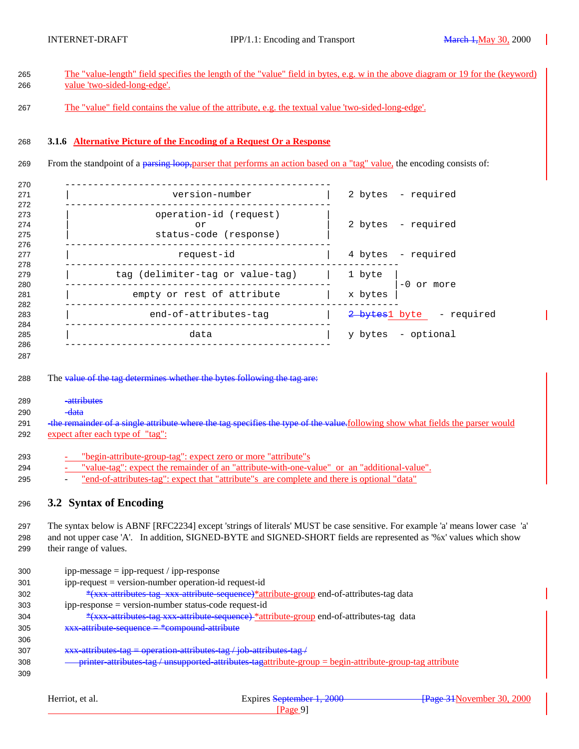<span id="page-8-0"></span>

|       | The "value-length" field specifies the length of the "value" field in bytes, e.g. w in the above diagram or 19 for the (keyword)<br>value 'two-sided-long-edge'.              |                    |
|-------|-------------------------------------------------------------------------------------------------------------------------------------------------------------------------------|--------------------|
|       | The "value" field contains the value of the attribute, e.g. the textual value 'two-sided-long-edge'.                                                                          |                    |
|       | 3.1.6 Alternative Picture of the Encoding of a Request Or a Response                                                                                                          |                    |
|       | From the standpoint of a parsing loop, part of the performs an action based on a "tag" value, the encoding consists of:                                                       |                    |
|       | version-number                                                                                                                                                                | 2 bytes - required |
|       |                                                                                                                                                                               |                    |
|       | operation-id (request)<br>or<br>status-code (response)                                                                                                                        | 2 bytes - required |
|       |                                                                                                                                                                               |                    |
|       |                                                                                                                                                                               |                    |
|       | request-id                                                                                                                                                                    | 4 bytes - required |
|       |                                                                                                                                                                               |                    |
|       | tag (delimiter-tag or value-tag)   1 byte<br>  empty or rest of attribute   x bytes                                                                                           | -0 or more         |
|       |                                                                                                                                                                               |                    |
|       | end-of-attributes-tag<br>2 bytes1 byte - required                                                                                                                             |                    |
|       |                                                                                                                                                                               |                    |
|       | $\begin{array}{c c} \texttt{data} & &   \\ \hline \end{array}$                                                                                                                | y bytes - optional |
|       | The value of the tag determines whether the bytes following the tag are:<br>-attributes                                                                                       |                    |
| -data | the remainder of a single attribute where the tag specifies the type of the value-following show what fields the parser would<br>expect after each type of "tag":             |                    |
|       |                                                                                                                                                                               |                    |
|       | - "begin-attribute-group-tag": expect zero or more "attribute"s<br>"value-tag": expect the remainder of an "attribute-with-one-value" or an "additional-value".               |                    |
|       | "end-of-attributes-tag": expect that "attribute"s are complete and there is optional "data"                                                                                   |                    |
|       | 3.2 Syntax of Encoding                                                                                                                                                        |                    |
|       |                                                                                                                                                                               |                    |
|       | The syntax below is ABNF [RFC2234] except 'strings of literals' MUST be case sensitive. For example 'a' means lower case 'a'                                                  |                    |
|       | and not upper case 'A'. In addition, SIGNED-BYTE and SIGNED-SHORT fields are represented as '%x' values which show<br>their range of values.                                  |                    |
|       | $ipp-message = ipp-request / ipp-response$                                                                                                                                    |                    |
|       | ipp-request = version-number operation-id request-id                                                                                                                          |                    |
|       | *(xxx attributes tag xxx attribute sequence)*attribute-group end-of-attributes-tag data                                                                                       |                    |
|       | ipp-response = version-number status-code request-id                                                                                                                          |                    |
|       | *(xxx attributes tag xxx attribute sequence) *attribute-group end-of-attributes-tag data                                                                                      |                    |
|       | xxx attribute sequence = *compound attribute                                                                                                                                  |                    |
|       |                                                                                                                                                                               |                    |
|       | xxx attributes tag = operation attributes tag/job attributes tag/<br>printer attributes tag / unsupported attributes tagattribute-group = begin-attribute-group-tag attribute |                    |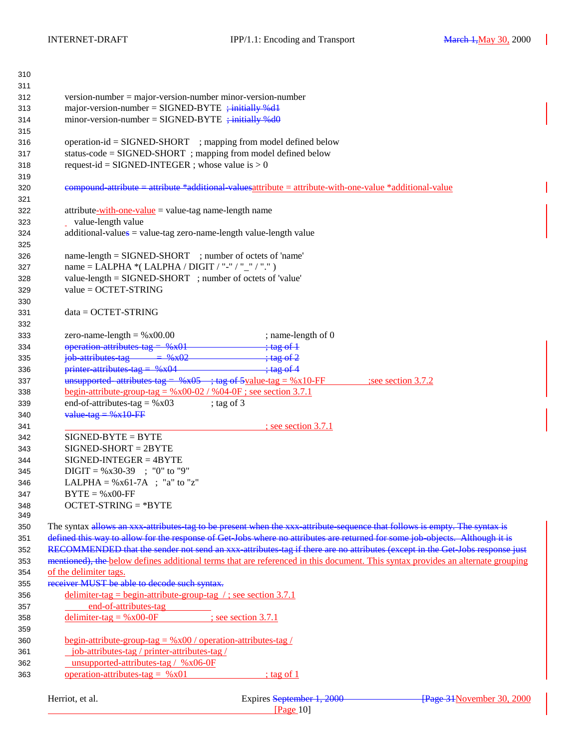| 310        |                                                                                                                                                                                                                                                                                                                                                        |
|------------|--------------------------------------------------------------------------------------------------------------------------------------------------------------------------------------------------------------------------------------------------------------------------------------------------------------------------------------------------------|
| 311        |                                                                                                                                                                                                                                                                                                                                                        |
| 312        | $version-number = majorversion-number minor-version-number$                                                                                                                                                                                                                                                                                            |
| 313        | major-version-number = $SIGNED-BYTE$ ; initially %dl                                                                                                                                                                                                                                                                                                   |
| 314        | minor-version-number = $SIGNED-BYTE$ ; initially %d0                                                                                                                                                                                                                                                                                                   |
| 315        |                                                                                                                                                                                                                                                                                                                                                        |
| 316        | $operation-id = SIGNED-SHORT$ ; mapping from model defined below                                                                                                                                                                                                                                                                                       |
| 317        | status-code = SIGNED-SHORT; mapping from model defined below                                                                                                                                                                                                                                                                                           |
| 318        | request-id = SIGNED-INTEGER ; whose value is $> 0$                                                                                                                                                                                                                                                                                                     |
| 319        |                                                                                                                                                                                                                                                                                                                                                        |
| 320        | eompound attribute = attribute *additional values attribute = attribute-with-one-value *additional-value                                                                                                                                                                                                                                               |
| 321        |                                                                                                                                                                                                                                                                                                                                                        |
| 322        | attribute-with-one-value = value-tag name-length name                                                                                                                                                                                                                                                                                                  |
| 323        | _ value-length value                                                                                                                                                                                                                                                                                                                                   |
| 324        | additional-values = value-tag zero-name-length value-length value                                                                                                                                                                                                                                                                                      |
| 325        |                                                                                                                                                                                                                                                                                                                                                        |
| 326        | name-length = SIGNED-SHORT ; number of octets of 'name'                                                                                                                                                                                                                                                                                                |
| 327        | name = LALPHA *( LALPHA / DIGIT / "-" / "_" / ".")                                                                                                                                                                                                                                                                                                     |
| 328        | value-length = SIGNED-SHORT ; number of octets of 'value'                                                                                                                                                                                                                                                                                              |
| 329        | $value = OCTET-STRING$                                                                                                                                                                                                                                                                                                                                 |
| 330        |                                                                                                                                                                                                                                                                                                                                                        |
| 331        | $data = OCTET-STRING$                                                                                                                                                                                                                                                                                                                                  |
| 332        |                                                                                                                                                                                                                                                                                                                                                        |
| 333        | zero-name-length = $%x00.00$<br>; name-length of $0$                                                                                                                                                                                                                                                                                                   |
| 334        | operation attributes tag = %x01<br>$\div$ tag of $\pm$                                                                                                                                                                                                                                                                                                 |
|            | $\frac{1}{100}$ attributes tag = %x02<br>$\div$ tag of 2                                                                                                                                                                                                                                                                                               |
| 335        | printer attributes tag = $%x04$<br>$\frac{1}{2}$ $\frac{1}{2}$ $\frac{1}{2}$ $\frac{1}{2}$ $\frac{1}{2}$ $\frac{1}{2}$ $\frac{1}{2}$ $\frac{1}{2}$ $\frac{1}{2}$ $\frac{1}{2}$ $\frac{1}{2}$ $\frac{1}{2}$ $\frac{1}{2}$ $\frac{1}{2}$ $\frac{1}{2}$ $\frac{1}{2}$ $\frac{1}{2}$ $\frac{1}{2}$ $\frac{1}{2}$ $\frac{1}{2}$ $\frac{1}{2}$ $\frac{1}{2}$ |
| 336        | unsupported attributes tag = $%x05$ ; tag of 5yalue-tag = $%x10$ -FF                                                                                                                                                                                                                                                                                   |
| 337        | see section 3.7.2<br><u>begin-attribute-group-tag = %x00-02 / %04-0F; see section 3.7.1</u>                                                                                                                                                                                                                                                            |
| 338        | end-of-attributes-tag = $%x03$<br>; tag of $3$                                                                                                                                                                                                                                                                                                         |
| 339        | value tag = $%x10$ FF                                                                                                                                                                                                                                                                                                                                  |
| 340        |                                                                                                                                                                                                                                                                                                                                                        |
| 341<br>342 | $\frac{1}{2}$ see section 3.7.1<br>$SIGNED-BYTE = BYTE$                                                                                                                                                                                                                                                                                                |
|            | $SIGNED-SHORT = 2BYTE$                                                                                                                                                                                                                                                                                                                                 |
| 343        | $SIGNED-INTER = 4BYTE$                                                                                                                                                                                                                                                                                                                                 |
| 344        |                                                                                                                                                                                                                                                                                                                                                        |
| 345        | $DIGIT = %x30-39$ ; "0" to "9"                                                                                                                                                                                                                                                                                                                         |
| 346        | LALPHA = $\%x61-7A$ ; "a" to "z"                                                                                                                                                                                                                                                                                                                       |
| 347        | $BYTE = %x00-FF$                                                                                                                                                                                                                                                                                                                                       |
| 348<br>349 | $OCTET-STRING = *BYTE$                                                                                                                                                                                                                                                                                                                                 |
| 350        | The syntax allows an xxx attributes tag to be present when the xxx attribute sequence that follows is empty. The syntax is                                                                                                                                                                                                                             |
| 351        | defined this way to allow for the response of Get Jobs where no attributes are returned for some job objects. Although it is                                                                                                                                                                                                                           |
| 352        | RECOMMENDED that the sender not send an xxx attributes tag if there are no attributes (except in the Get Jobs response just                                                                                                                                                                                                                            |
| 353        | mentioned), the below defines additional terms that are referenced in this document. This syntax provides an alternate grouping                                                                                                                                                                                                                        |
|            | of the delimiter tags.                                                                                                                                                                                                                                                                                                                                 |
| 354        | receiver MUST be able to decode such syntax.                                                                                                                                                                                                                                                                                                           |
| 355        | delimiter-tag = begin-attribute-group-tag /; see section 3.7.1                                                                                                                                                                                                                                                                                         |
| 356        | end-of-attributes-tag                                                                                                                                                                                                                                                                                                                                  |
| 357        |                                                                                                                                                                                                                                                                                                                                                        |
| 358        | delimiter-tag = $%x00-0F$<br>$\frac{1}{2}$ see section 3.7.1                                                                                                                                                                                                                                                                                           |
| 359        |                                                                                                                                                                                                                                                                                                                                                        |
| 360        | <u>begin-attribute-group-tag = <math>\%x00</math> / operation-attributes-tag /</u>                                                                                                                                                                                                                                                                     |
| 361        | job-attributes-tag / printer-attributes-tag /                                                                                                                                                                                                                                                                                                          |
| 362        | unsupported-attributes-tag / %x06-0F                                                                                                                                                                                                                                                                                                                   |
| 363        | operation-attributes-tag = $\%x01$<br>$\frac{1}{2}$ tag of 1                                                                                                                                                                                                                                                                                           |
|            |                                                                                                                                                                                                                                                                                                                                                        |
|            | Herriot, et al.<br>Expires September 1, 2000<br>Page 31 November 30, 2000                                                                                                                                                                                                                                                                              |
|            | [Page 10]                                                                                                                                                                                                                                                                                                                                              |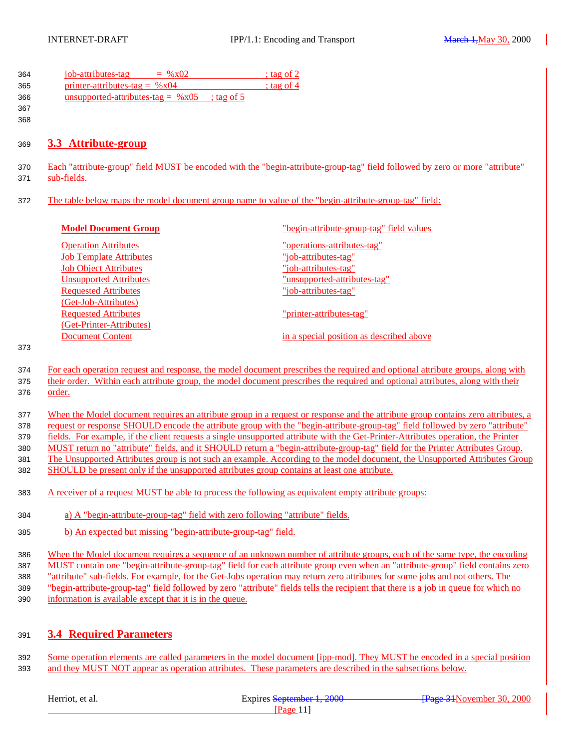<span id="page-10-0"></span>

| 364 | job-attributes-tag<br>$=$ % x 02        | $:$ tag of 2 |
|-----|-----------------------------------------|--------------|
| 365 | <u>printer-attributes-tag =</u> $\%x04$ | $:$ tag of 4 |
| 366 | unsupported-attributes-tag = $\%x05$    | : tag of $5$ |
| 367 |                                         |              |

### 

#### **3.3 Attribute-group**

- Each "attribute-group" field MUST be encoded with the "begin-attribute-group-tag" field followed by zero or more "attribute" sub-fields.
- The table below maps the model document group name to value of the "begin-attribute-group-tag" field:

| <b>Model Document Group</b>    | "begin-attribute-group-tag" field values |
|--------------------------------|------------------------------------------|
| <b>Operation Attributes</b>    | "operations-attributes-tag"              |
| <b>Job Template Attributes</b> | "job-attributes-tag"                     |
| <b>Job Object Attributes</b>   | "job-attributes-tag"                     |
| <b>Unsupported Attributes</b>  | "unsupported-attributes-tag"             |
| <b>Requested Attributes</b>    | "job-attributes-tag"                     |
| (Get-Job-Attributes)           |                                          |
| <b>Requested Attributes</b>    | "printer-attributes-tag"                 |
| (Get-Printer-Attributes)       |                                          |
| <b>Document Content</b>        | in a special position as described above |
|                                |                                          |

#### 

- For each operation request and response, the model document prescribes the required and optional attribute groups, along with
- their order. Within each attribute group, the model document prescribes the required and optional attributes, along with their order.
- When the Model document requires an attribute group in a request or response and the attribute group contains zero attributes, a request or response SHOULD encode the attribute group with the "begin-attribute-group-tag" field followed by zero "attribute"

fields. For example, if the client requests a single unsupported attribute with the Get-Printer-Attributes operation, the Printer

 MUST return no "attribute" fields, and it SHOULD return a "begin-attribute-group-tag" field for the Printer Attributes Group. The Unsupported Attributes group is not such an example. According to the model document, the Unsupported Attributes Group

- SHOULD be present only if the unsupported attributes group contains at least one attribute.
- A receiver of a request MUST be able to process the following as equivalent empty attribute groups:
- a) A "begin-attribute-group-tag" field with zero following "attribute" fields.
- b) An expected but missing "begin-attribute-group-tag" field.
- When the Model document requires a sequence of an unknown number of attribute groups, each of the same type, the encoding MUST contain one "begin-attribute-group-tag" field for each attribute group even when an "attribute-group" field contains zero "attribute" sub-fields. For example, for the Get-Jobs operation may return zero attributes for some jobs and not others. The "begin-attribute-group-tag" field followed by zero "attribute" fields tells the recipient that there is a job in queue for which no
- information is available except that it is in the queue.

### **3.4 Required Parameters**

 Some operation elements are called parameters in the model document [ipp-mod]. They MUST be encoded in a special position and they MUST NOT appear as operation attributes. These parameters are described in the subsections below.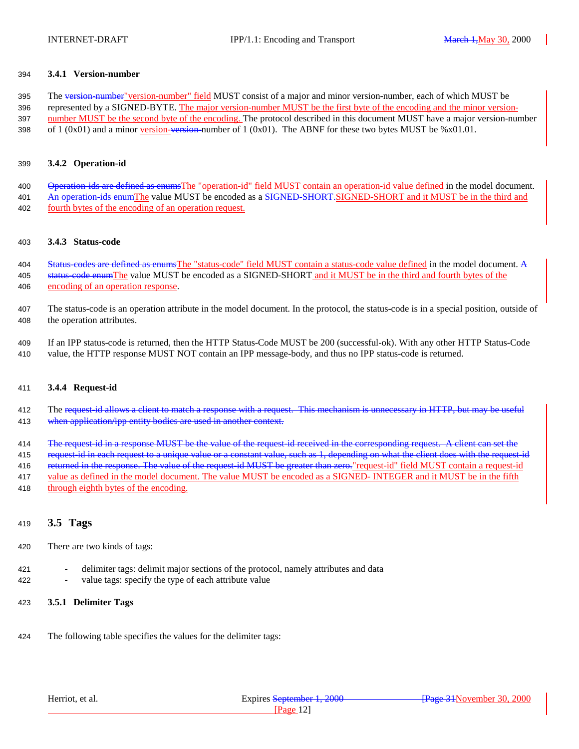#### <span id="page-11-0"></span>394 **3.4.1 Version-number**

395 The version-number" version-number" field MUST consist of a major and minor version-number, each of which MUST be 396 represented by a SIGNED-BYTE. The major version-number MUST be the first byte of the encoding and the minor version-397 number MUST be the second byte of the encoding. The protocol described in this document MUST have a major version-number 398 of 1 (0x01) and a minor version-version-number of 1 (0x01). The ABNF for these two bytes MUST be %x01.01.

#### 399 **3.4.2 Operation-id**

400 Operation ids are defined as enumsThe "operation-id" field MUST contain an operation-id value defined in the model document. 401 An operation ids enumThe value MUST be encoded as a **SIGNED-SHORT**.SIGNED-SHORT and it MUST be in the third and 402 fourth bytes of the encoding of an operation request.

#### 403 **3.4.3 Status-code**

404 Status-codes are defined as enumsThe "status-code" field MUST contain a status-code value defined in the model document. A 405 status-code enumThe value MUST be encoded as a SIGNED-SHORT and it MUST be in the third and fourth bytes of the 406 encoding of an operation response.

- 407 The status-code is an operation attribute in the model document. In the protocol, the status-code is in a special position, outside of 408 the operation attributes.
- 409 If an IPP status-code is returned, then the HTTP Status-Code MUST be 200 (successful-ok). With any other HTTP Status-Code 410 value, the HTTP response MUST NOT contain an IPP message-body, and thus no IPP status-code is returned.

#### 411 **3.4.4 Request-id**

- 412 The request-id allows a client to match a response with a request. This mechanism is unnecessary in HTTP, but may be useful 413 when application/ipp entity bodies are used in another context.
- 414 The request-id in a response MUST be the value of the request-id received in the corresponding request. A client can set the
- 415 request-id in each request to a unique value or a constant value, such as 1, depending on what the client does with the request-id
- 416 returned in the response. The value of the request id MUST be greater than zero." request-id" field MUST contain a request-id
- 417 value as defined in the model document. The value MUST be encoded as a SIGNED- INTEGER and it MUST be in the fifth
- 418 through eighth bytes of the encoding.

#### <sup>419</sup> **3.5 Tags**

- 420 There are two kinds of tags:
- 421 delimiter tags: delimit major sections of the protocol, namely attributes and data
- 422 value tags: specify the type of each attribute value

#### 423 **3.5.1 Delimiter Tags**

424 The following table specifies the values for the delimiter tags: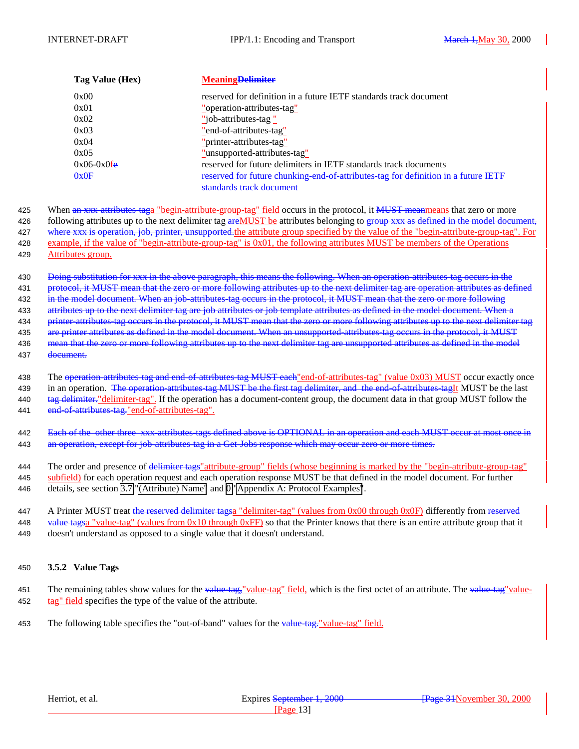<span id="page-12-0"></span>

| Tag Value (Hex) | <b>Meaning Delimiter</b>                                                           |
|-----------------|------------------------------------------------------------------------------------|
| 0x00            | reserved for definition in a future IETF standards track document                  |
| 0x01            | "operation-attributes-tag"                                                         |
| 0x02            | "job-attributes-tag"                                                               |
| 0x03            | "end-of-attributes-tag"                                                            |
| 0x04            | "printer-attributes-tag"                                                           |
| 0x05            | "unsupported-attributes-tag"                                                       |
| $0x06-0x0f$ e   | reserved for future delimiters in IETF standards track documents                   |
| 0x0F            | reserved for future chunking end of attributes tag for definition in a future IETF |
|                 | standards track document                                                           |

425 When an xxx attributes taga "begin-attribute-group-tag" field occurs in the protocol, it MUST meanmeans that zero or more 426 following attributes up to the next delimiter tag are MUST be attributes belonging to group xxx as defined in the model document, 427 where xxx is operation, job, printer, unsupported, the attribute group specified by the value of the "begin-attribute-group-tag". For 428 example, if the value of "begin-attribute-group-tag" is 0x01, the following attributes MUST be members of the Operations 429 Attributes group.

430 Doing substitution for xxx in the above paragraph, this means the following. When an operation attributes tag occurs in the 431 protocol, it MUST mean that the zero or more following attributes up to the next delimiter tag are operation attributes as defined 432 in the model document. When an job-attributes-tag occurs in the protocol, it MUST mean that the zero or more following 433 attributes up to the next delimiter tag are job attributes or job template attributes as defined in the model document. When a 434 printer attributes tag occurs in the protocol, it MUST mean that the zero or more following attributes up to the next delimiter tag 435 are printer attributes as defined in the model document. When an unsupported attributes tag occurs in the protocol, it MUST 436 mean that the zero or more following attributes up to the next delimiter tag are unsupported attributes as defined in the model 437 document.

438 The operation-attributes-tag and end-of-attributes-tag MUST each "end-of-attributes-tag" (value 0x03) MUST occur exactly once 439 in an operation. The operation attributes tag MUST be the first tag delimiter, and the end-of-attributes-tagIt MUST be the last 440 tag delimiter-"delimiter-tag". If the operation has a document-content group, the document data in that group MUST follow the 441 end of attributes tag." end-of-attributes-tag".

442 Each of the other three xxx attributes tags defined above is OPTIONAL in an operation and each MUST occur at most once in 443 an operation, except for job attributes tag in a Get Jobs response which may occur zero or more times.

444 The order and presence of delimiter tags" attribute-group" fields (whose beginning is marked by the "begin-attribute-group-tag"

445 subfield) for each operation request and each operation response MUST be that defined in the model document. For further 446 details, see section [3.7 "\(Attribute\) Name"](#page-14-0) and [0 "Appendix A: Protocol Examples"](#page-28-0).

447 A Printer MUST treat the reserved delimiter tagsa "delimiter-tag" (values from 0x00 through 0x0F) differently from reserved 448 value tagsa "value-tag" (values from  $0x10$  through  $0xFF$ ) so that the Printer knows that there is an entire attribute group that it 449 doesn't understand as opposed to a single value that it doesn't understand.

#### 450 **3.5.2 Value Tags**

- 451 The remaining tables show values for the value-tag, value-tag" field, which is the first octet of an attribute. The value-tag"value-452 tag" field specifies the type of the value of the attribute.
- 453 The following table specifies the "out-of-band" values for the value-tag. "value-tag" field.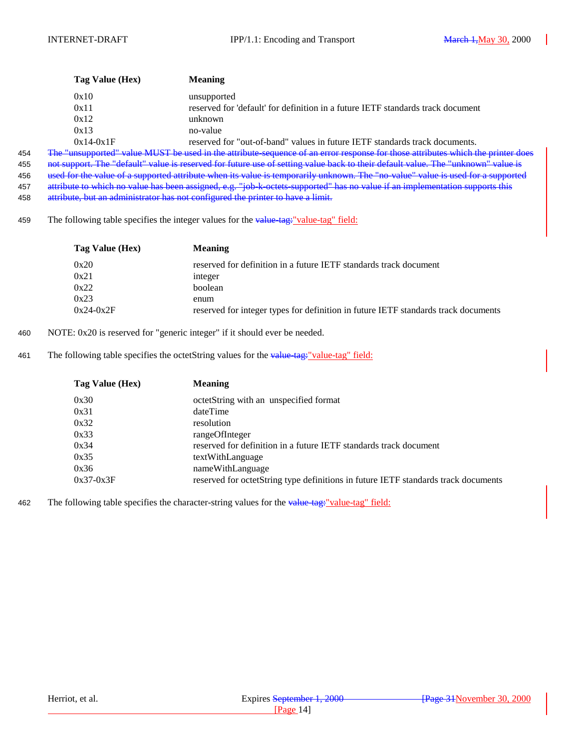| Tag Value (Hex) | <b>Meaning</b>                                                                  |
|-----------------|---------------------------------------------------------------------------------|
| 0x10            | unsupported                                                                     |
| 0x11            | reserved for 'default' for definition in a future IETF standards track document |
| 0x12            | unknown                                                                         |
| 0x13            | no-value                                                                        |
| $0x14-0x1F$     | reserved for "out-of-band" values in future IETF standards track documents.     |

454 The "unsupported" value MUST be used in the attribute-sequence of an error response for those attributes which the printer does 455 not support. The "default" value is reserved for future use of setting value back to their default value. The "unknown" value is 456 used for the value of a supported attribute when its value is temporarily unknown. The "no-value" value is used for a supported 457 attribute to which no value has been assigned, e.g. "job k octets supported" has no value if an implementation supports this 458 attribute, but an administrator has not configured the printer to have a limit.

459 The following table specifies the integer values for the value-tag: "value-tag" field:

| Tag Value (Hex) | <b>Meaning</b>                                                                     |
|-----------------|------------------------------------------------------------------------------------|
| 0x20            | reserved for definition in a future IETF standards track document                  |
| 0x21            | integer                                                                            |
| 0x22            | boolean                                                                            |
| 0x23            | enum                                                                               |
| $0x24-0x2F$     | reserved for integer types for definition in future IETF standards track documents |

- 460 NOTE: 0x20 is reserved for "generic integer" if it should ever be needed.
- 461 The following table specifies the octetString values for the value-tag- $"$ value-tag" field:

| Tag Value (Hex) | <b>Meaning</b>                                                                     |
|-----------------|------------------------------------------------------------------------------------|
| 0x30            | octetString with an unspecified format                                             |
| 0x31            | dateTime                                                                           |
| 0x32            | resolution                                                                         |
| 0x33            | rangeOfInteger                                                                     |
| 0x34            | reserved for definition in a future IETF standards track document                  |
| 0x35            | textWithLanguage                                                                   |
| 0x36            | nameWithLanguage                                                                   |
| $0x37-0x3F$     | reserved for octetString type definitions in future IETF standards track documents |

462 The following table specifies the character-string values for the value-tag: "value-tag" field: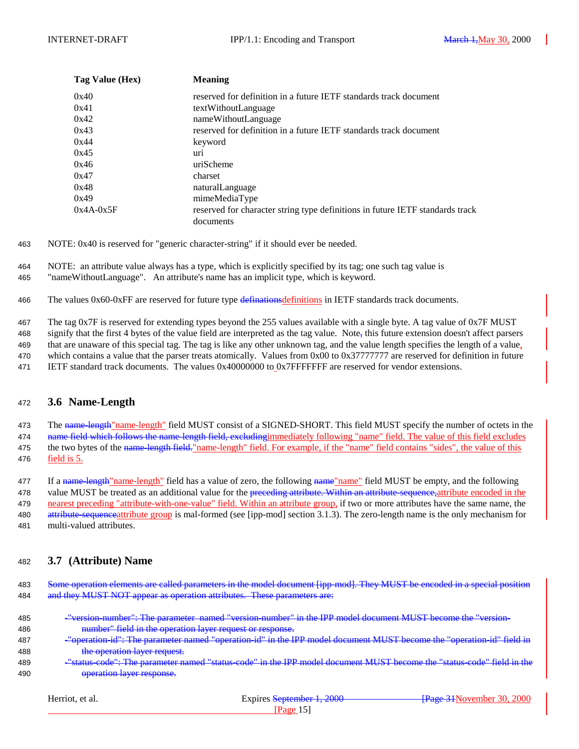<span id="page-14-0"></span>

| Tag Value (Hex) | <b>Meaning</b>                                                                |
|-----------------|-------------------------------------------------------------------------------|
| 0x40            | reserved for definition in a future IETF standards track document             |
| 0x41            | textWithoutLanguage                                                           |
| 0x42            | nameWithoutLanguage                                                           |
| 0x43            | reserved for definition in a future IETF standards track document             |
| 0x44            | keyword                                                                       |
| 0x45            | uri                                                                           |
| 0x46            | uriScheme                                                                     |
| 0x47            | charset                                                                       |
| 0x48            | naturalLanguage                                                               |
| 0x49            | mimeMediaType                                                                 |
| $0x4A-0x5F$     | reserved for character string type definitions in future IETF standards track |
|                 | documents                                                                     |

463 NOTE: 0x40 is reserved for "generic character-string" if it should ever be needed.

464 NOTE: an attribute value always has a type, which is explicitly specified by its tag; one such tag value is 465 "nameWithoutLanguage". An attribute's name has an implicit type, which is keyword.

466 The values  $0x60-0xFF$  are reserved for future type definationsdefinitions in IETF standards track documents.

467 The tag 0x7F is reserved for extending types beyond the 255 values available with a single byte. A tag value of 0x7F MUST 468 signify that the first 4 bytes of the value field are interpreted as the tag value. Note, this future extension doesn't affect parsers 469 that are unaware of this special tag. The tag is like any other unknown tag, and the value length specifies the length of a value, 470 which contains a value that the parser treats atomically. Values from 0x00 to 0x37777777 are reserved for definition in future 471 IETF standard track documents. The values 0x40000000 to 0x7FFFFFFF are reserved for vendor extensions.

#### <sup>472</sup> **3.6 Name-Length**

473 The name-length"name-length" field MUST consist of a SIGNED-SHORT. This field MUST specify the number of octets in the 474 name field which follows the name length field, excluding immediately following "name" field. The value of this field excludes 475 the two bytes of the name-length field." name-length" field. For example, if the "name" field contains "sides", the value of this 476 field is 5.

477 If a name-length "name-length" field has a value of zero, the following name "name" field MUST be empty, and the following 478 value MUST be treated as an additional value for the preceding attribute. Within an attribute-sequence, attribute encoded in the 479 nearest preceding "attribute-with-one-value" field. Within an attribute group, if two or more attributes have the same name, the 480 attribute-sequenceattribute group is mal-formed (see [ipp-mod] section 3.1.3). The zero-length name is the only mechanism for 481 multi-valued attributes.

#### <sup>482</sup> **3.7 (Attribute) Name**

483 Some operation elements are called parameters in the model document [ipp-mod]. They MUST be encoded in a special position 484 and they MUST NOT appear as operation attributes. These parameters are:

| 485 | $\mu_{\text{vareion}}$ number"; The parameter named "version number" in the IPP model document MHST become the "version"<br><u>– veision number , me barancier named  veision number  m uie ir rhodel document MTO3 I become tie  veision </u> |
|-----|------------------------------------------------------------------------------------------------------------------------------------------------------------------------------------------------------------------------------------------------|
| 486 | number" field in the operation laver request or response<br>mumoci - neru in the operation hayer request or response.                                                                                                                          |

- 487 "operation-id": The parameter named "operation-id" in the IPP model document MUST become the "operation-id" field in 488 the operation layer request.
- 489 "status-code": The parameter named "status-code" in the IPP model document MUST become the "status-code" field in the 490 **operation layer response.**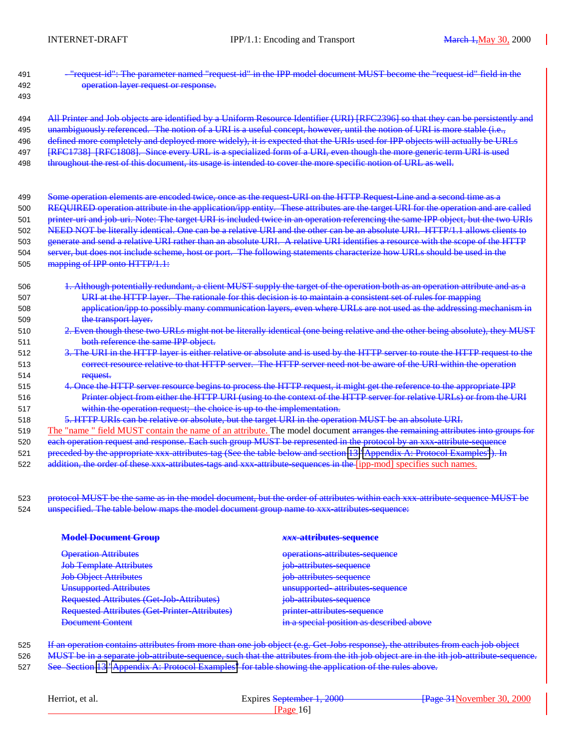| 491 | eter named "request id" in the IPP model document MUST become the "request id" field in the                                       |
|-----|-----------------------------------------------------------------------------------------------------------------------------------|
| 492 | operation layer request or response.                                                                                              |
| 493 |                                                                                                                                   |
| 494 | a Uniform Resource Identifier (URI) [RFC2396]<br>identified by                                                                    |
| 495 | concept, however, until the notion of URI is more stable (i.e.,<br>of a IIR Lie<br><b>useful</b><br>Th                            |
| 496 | defined more completely and deployed more widely), it is expected that the URIs used for IPP objects will actually be URLs        |
| 497 | [RFC1738] [RFC1808]. Since every URL is a specialized form of a URI, even though the more generic term URI is used                |
| 498 | throughout the rest of this document, its usage is intended to cover the more specific notion of URL as well.                     |
| 499 | as the request URI on the HTTP Request Line<br>are encoded twice.                                                                 |
| 500 | REQUIRED operation attribute in the application/ipp entity. These attributes are the target URI for the operation and             |
| 501 | printer-uri and job-uri. Note: The target URI is included twice in an operation referencing the same IPP object, but the two URIs |
| 502 | NEED NOT be literally identical. One can be a relative URI and the other can be<br>absolute URI. HTTP/1.1 allows clients to       |
| 503 | generate and send a relative URI rather than an absolute URI. A relative URI identifies a resource with the scope of the HTTP     |
| 504 | but does not include scheme, host or port. The following statements characterize how URLs should be used in the                   |
| 505 | mapping of IPP onto HTTP/1.1:                                                                                                     |
|     |                                                                                                                                   |
| 506 | 1. Although potentially redundant, a client MUST supply the target of the operation both as an operation attribute and as a       |
| 507 | URI at the HTTP layer. The rationale for this decision is to maintain a consistent set of rules for mapping                       |
| 508 | application/ipp to possibly many communication layers, even where URLs are not used as the addressing mechanism in                |
| 509 | the transport layer.                                                                                                              |
| 510 | 2. Even though these two URLs might not be literally identical (one being relative and the other being absolute), they MUST       |
| 511 | both reference the same IPP object.                                                                                               |
| 512 | 3. The URI in the HTTP layer is either relative or absolute and is used by the HTTP server to route the HTTP request to the       |
| 513 | correct resource relative to that HTTP server. The HTTP server need not be aware of the URI within the operation                  |
| 514 | request.                                                                                                                          |
| 515 | egins to process the HTTP request, it might get the reference to the appropriate IPP<br>4. Once the HTTP server resource b        |
| 516 | Printer object from either the HTTP URI (using to the context of the HTTP server for relative URLs) or from the URI               |
| 517 | within the operation request; the choice is up to the implementation.                                                             |
| 518 | 5. HTTP URIs can be relative or absolute, but the target URI in the operation MUST be an absolute URI.                            |
| 519 | The "name " field MUST contain the name of an attribute. The model document arranges the remaining attributes into groups for     |
| 520 | each operation request and response. Each such group MUST be represented in the protocol by an xxx attribute sequence             |
| 521 | preceded by the appropriate xxx attributes tag (See the table below and section 13 "Appendix A: Protocol Examples"). In           |
| 522 | addition, the order of these xxx attributes tags and xxx attribute sequences in the [ipp-mod] specifies such names.               |

523 protocol MUST be the same as in the model document, but the order of attributes within each xxx attribute sequence MUST be 524 unspecified. The table below maps the model document group name to xxx attributes sequence:

| xxx-attributes-sequence                  |
|------------------------------------------|
| operations attributes sequence           |
| job attributes sequence                  |
| job attributes sequence                  |
| unsupported attributes sequence          |
| job attributes sequence                  |
| <b>printer attributes sequence</b>       |
| in a special position as described above |
|                                          |

525 If an operation contains attributes from more than one job object (e.g. Get Jobs response), the attributes from each job object 526 MUST be in a separate job attribute-sequence, such that the attributes from the ith job-object are in the ith job-attribute-sequence. 527 See Section [13 "Appendix A: Protocol Examples"](#page-28-0) for table showing the application of the rules above.

| Herriot, et al. | Expires September 1, 2000 | <b>Frage 31 November 30, 2000</b> |  |
|-----------------|---------------------------|-----------------------------------|--|
|                 | Page 161                  |                                   |  |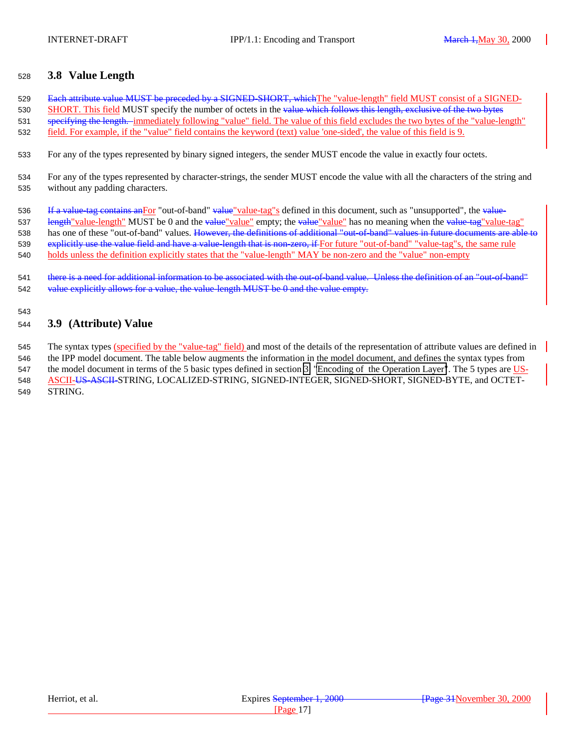#### <span id="page-16-0"></span><sup>528</sup> **3.8 Value Length**

529 Each attribute value MUST be preceded by a SIGNED SHORT, which The "value-length" field MUST consist of a SIGNED-530 SHORT. This field MUST specify the number of octets in the value which follows this length, exclusive of the two bytes 531 specifying the length. immediately following "value" field. The value of this field excludes the two bytes of the "value-length" 532 field. For example, if the "value" field contains the keyword (text) value 'one-sided', the value of this field is 9.

533 For any of the types represented by binary signed integers, the sender MUST encode the value in exactly four octets.

534 For any of the types represented by character-strings, the sender MUST encode the value with all the characters of the string and 535 without any padding characters.

536 If a value tag contains an For "out-of-band" value value-tag"s defined in this document, such as "unsupported", the value-537 length" value-length" MUST be 0 and the value" empty; the value" value" has no meaning when the value-tag" value-tag" 538 has one of these "out-of-band" values. However, the definitions of additional "out-of-band" values in future documents are able to 539 explicitly use the value field and have a value-length that is non-zero, if For future "out-of-band" "value-tag"s, the same rule 540 holds unless the definition explicitly states that the "value-length" MAY be non-zero and the "value" non-empty

541 there is a need for additional information to be associated with the out-of-band value. Unless the definition of an "out-of-band" 542 value explicitly allows for a value, the value-length MUST be 0 and the value empty.

#### 543

### <sup>544</sup> **3.9 (Attribute) Value**

545 The syntax types (specified by the "value-tag" field) and most of the details of the representation of attribute values are defined in 546 the IPP model document. The table below augments the information in the model document, and defines the syntax types from 547 the model document in terms of the 5 basic types defined in section [3 "Encoding of the Operation Layer"](#page-4-0). The 5 types are US-548 ASCII-US-ASCII-STRING, LOCALIZED-STRING, SIGNED-INTEGER, SIGNED-SHORT, SIGNED-BYTE, and OCTET-549 STRING.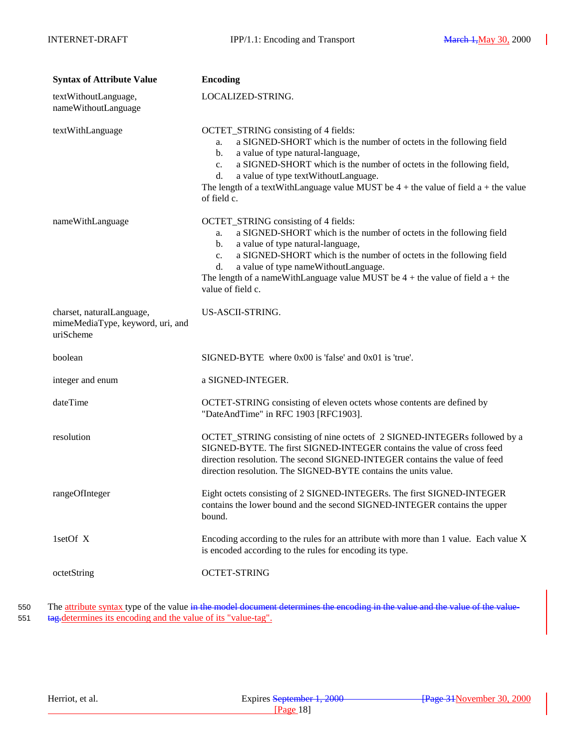| <b>Syntax of Attribute Value</b>                                           | <b>Encoding</b>                                                                                                                                                                                                                                                                                                                                                                                                       |
|----------------------------------------------------------------------------|-----------------------------------------------------------------------------------------------------------------------------------------------------------------------------------------------------------------------------------------------------------------------------------------------------------------------------------------------------------------------------------------------------------------------|
| textWithoutLanguage,<br>nameWithoutLanguage                                | LOCALIZED-STRING.                                                                                                                                                                                                                                                                                                                                                                                                     |
| textWithLanguage                                                           | OCTET_STRING consisting of 4 fields:<br>a SIGNED-SHORT which is the number of octets in the following field<br>a.<br>a value of type natural-language,<br>$\mathbf{b}$ .<br>a SIGNED-SHORT which is the number of octets in the following field,<br>$c_{\cdot}$<br>d.<br>a value of type textWithoutLanguage.<br>The length of a textWithLanguage value MUST be $4 +$ the value of field a + the value<br>of field c. |
| nameWithLanguage                                                           | OCTET_STRING consisting of 4 fields:<br>a SIGNED-SHORT which is the number of octets in the following field<br>a.<br>a value of type natural-language,<br>b.<br>a SIGNED-SHORT which is the number of octets in the following field<br>$c_{\cdot}$<br>a value of type nameWithoutLanguage.<br>d.<br>The length of a nameWithLanguage value MUST be $4 +$ the value of field $a +$ the<br>value of field c.            |
| charset, naturalLanguage,<br>mimeMediaType, keyword, uri, and<br>uriScheme | US-ASCII-STRING.                                                                                                                                                                                                                                                                                                                                                                                                      |
| boolean                                                                    | $SIGNED-BYTE$ where $0x00$ is 'false' and $0x01$ is 'true'.                                                                                                                                                                                                                                                                                                                                                           |
| integer and enum                                                           | a SIGNED-INTEGER.                                                                                                                                                                                                                                                                                                                                                                                                     |
| dateTime                                                                   | OCTET-STRING consisting of eleven octets whose contents are defined by<br>"DateAndTime" in RFC 1903 [RFC1903].                                                                                                                                                                                                                                                                                                        |
| resolution                                                                 | OCTET_STRING consisting of nine octets of 2 SIGNED-INTEGERs followed by a<br>SIGNED-BYTE. The first SIGNED-INTEGER contains the value of cross feed<br>direction resolution. The second SIGNED-INTEGER contains the value of feed<br>direction resolution. The SIGNED-BYTE contains the units value.                                                                                                                  |
| rangeOfInteger                                                             | Eight octets consisting of 2 SIGNED-INTEGERs. The first SIGNED-INTEGER<br>contains the lower bound and the second SIGNED-INTEGER contains the upper<br>bound.                                                                                                                                                                                                                                                         |
| 1setOf X                                                                   | Encoding according to the rules for an attribute with more than 1 value. Each value X<br>is encoded according to the rules for encoding its type.                                                                                                                                                                                                                                                                     |
| octetString                                                                | <b>OCTET-STRING</b>                                                                                                                                                                                                                                                                                                                                                                                                   |

550 The attribute syntax type of the value in the model document determines the encoding in the value and the value of the value-551 tag.determines its encoding and the value of its "value-tag".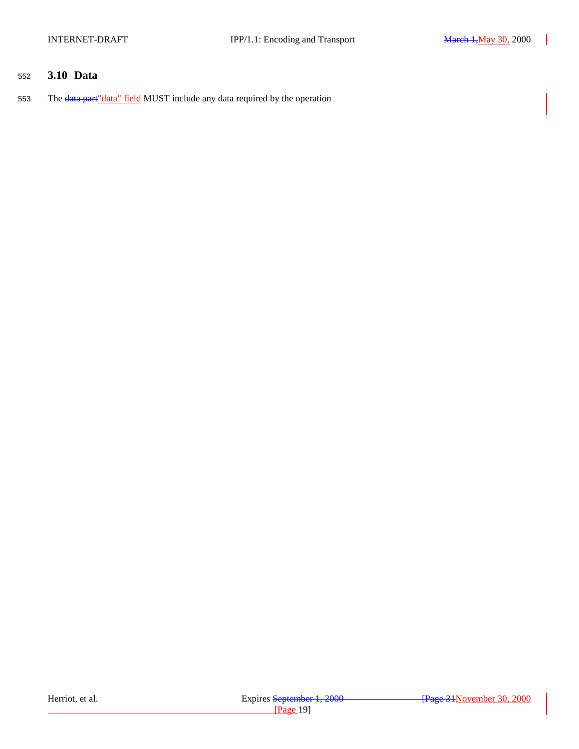### <span id="page-18-0"></span><sup>552</sup> **3.10 Data**

553 The data part "data" field MUST include any data required by the operation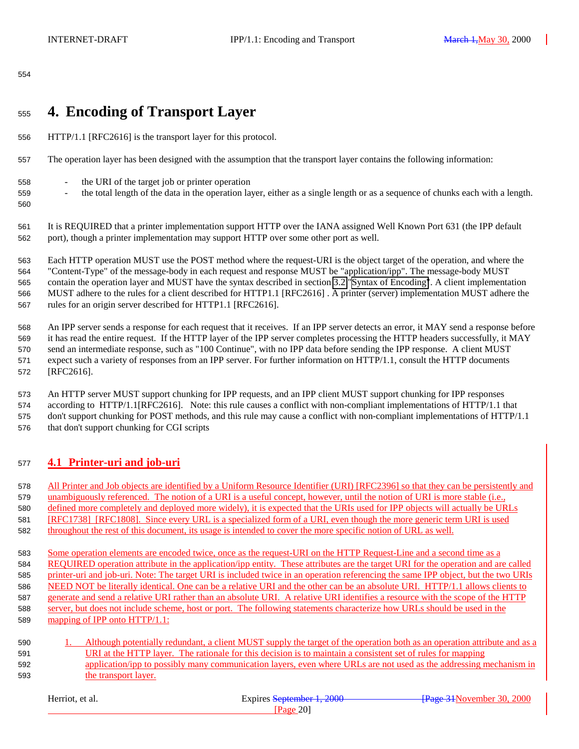#### <span id="page-19-0"></span>

# **4. Encoding of Transport Layer**

- HTTP/1.1 [RFC2616] is the transport layer for this protocol.
- The operation layer has been designed with the assumption that the transport layer contains the following information:
- the URI of the target job or printer operation
- the total length of the data in the operation layer, either as a single length or as a sequence of chunks each with a length.
- 

It is REQUIRED that a printer implementation support HTTP over the IANA assigned Well Known Port 631 (the IPP default

port), though a printer implementation may support HTTP over some other port as well.

 Each HTTP operation MUST use the POST method where the request-URI is the object target of the operation, and where the "Content-Type" of the message-body in each request and response MUST be "application/ipp". The message-body MUST contain the operation layer and MUST have the syntax described in section [3.2 "Syntax of Encoding"](#page-8-0). A client implementation MUST adhere to the rules for a client described for HTTP1.1 [RFC2616] . A printer (server) implementation MUST adhere the rules for an origin server described for HTTP1.1 [RFC2616].

 An IPP server sends a response for each request that it receives. If an IPP server detects an error, it MAY send a response before it has read the entire request. If the HTTP layer of the IPP server completes processing the HTTP headers successfully, it MAY send an intermediate response, such as "100 Continue", with no IPP data before sending the IPP response. A client MUST expect such a variety of responses from an IPP server. For further information on HTTP/1.1, consult the HTTP documents [RFC2616].

 An HTTP server MUST support chunking for IPP requests, and an IPP client MUST support chunking for IPP responses according to HTTP/1.1[RFC2616]. Note: this rule causes a conflict with non-compliant implementations of HTTP/1.1 that don't support chunking for POST methods, and this rule may cause a conflict with non-compliant implementations of HTTP/1.1 that don't support chunking for CGI scripts

### **4.1 Printer-uri and job-uri**

All Printer and Job objects are identified by a Uniform Resource Identifier (URI) [RFC2396] so that they can be persistently and

unambiguously referenced. The notion of a URI is a useful concept, however, until the notion of URI is more stable (i.e.,

defined more completely and deployed more widely), it is expected that the URIs used for IPP objects will actually be URLs

- [RFC1738] [RFC1808]. Since every URL is a specialized form of a URI, even though the more generic term URI is used throughout the rest of this document, its usage is intended to cover the more specific notion of URL as well.
- Some operation elements are encoded twice, once as the request-URI on the HTTP Request-Line and a second time as a REQUIRED operation attribute in the application/ipp entity. These attributes are the target URI for the operation and are called printer-uri and job-uri. Note: The target URI is included twice in an operation referencing the same IPP object, but the two URIs NEED NOT be literally identical. One can be a relative URI and the other can be an absolute URI. HTTP/1.1 allows clients to generate and send a relative URI rather than an absolute URI. A relative URI identifies a resource with the scope of the HTTP server, but does not include scheme, host or port. The following statements characterize how URLs should be used in the 589 mapping of IPP onto HTTP/1.1:
- 1. Although potentially redundant, a client MUST supply the target of the operation both as an operation attribute and as a URI at the HTTP layer. The rationale for this decision is to maintain a consistent set of rules for mapping 592 application/ipp to possibly many communication layers, even where URLs are not used as the addressing mechanism in the transport layer.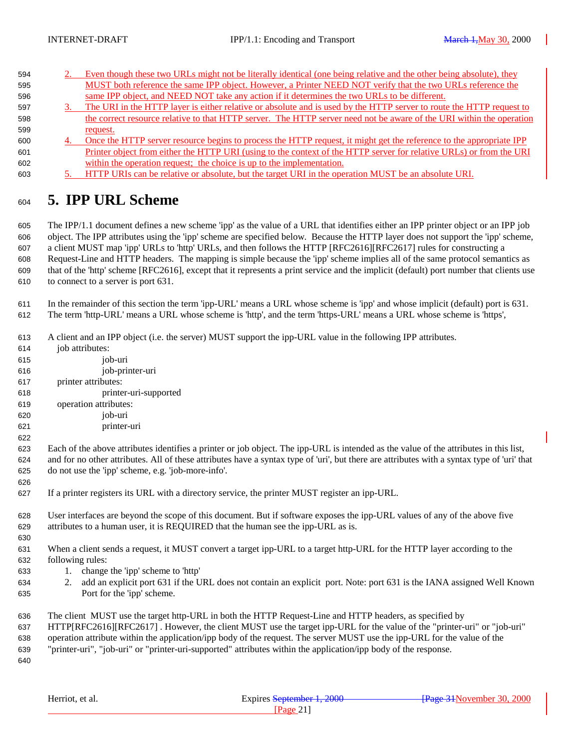<span id="page-20-0"></span>

| 594 | Even though these two URLs might not be literally identical (one being relative and the other being absolute), they  |
|-----|----------------------------------------------------------------------------------------------------------------------|
| 595 | MUST both reference the same IPP object. However, a Printer NEED NOT verify that the two URLs reference the          |
| 596 | same IPP object, and NEED NOT take any action if it determines the two URLs to be different.                         |
| 597 | The URI in the HTTP layer is either relative or absolute and is used by the HTTP server to route the HTTP request to |
| 598 | the correct resource relative to that HTTP server. The HTTP server need not be aware of the URI within the operation |
| 599 | request.                                                                                                             |
| 600 | Once the HTTP server resource begins to process the HTTP request, it might get the reference to the appropriate IPP  |
| 601 | Printer object from either the HTTP URI (using to the context of the HTTP server for relative URLs) or from the URI  |
| 602 | within the operation request; the choice is up to the implementation.                                                |
| 603 | HTTP URIs can be relative or absolute, but the target URI in the operation MUST be an absolute URI.                  |

**5. IPP URL Scheme**

 The IPP/1.1 document defines a new scheme 'ipp' as the value of a URL that identifies either an IPP printer object or an IPP job object. The IPP attributes using the 'ipp' scheme are specified below. Because the HTTP layer does not support the 'ipp' scheme, a client MUST map 'ipp' URLs to 'http' URLs, and then follows the HTTP [RFC2616][RFC2617] rules for constructing a Request-Line and HTTP headers. The mapping is simple because the 'ipp' scheme implies all of the same protocol semantics as that of the 'http' scheme [RFC2616], except that it represents a print service and the implicit (default) port number that clients use to connect to a server is port 631.

 In the remainder of this section the term 'ipp-URL' means a URL whose scheme is 'ipp' and whose implicit (default) port is 631. The term 'http-URL' means a URL whose scheme is 'http', and the term 'https-URL' means a URL whose scheme is 'https',

- A client and an IPP object (i.e. the server) MUST support the ipp-URL value in the following IPP attributes.
- job attributes: job-uri job-printer-uri printer attributes: printer-uri-supported operation attributes: job-uri printer-uri Each of the above attributes identifies a printer or job object. The ipp-URL is intended as the value of the attributes in this list, and for no other attributes. All of these attributes have a syntax type of 'uri', but there are attributes with a syntax type of 'uri' that do not use the 'ipp' scheme, e.g. 'job-more-info'. If a printer registers its URL with a directory service, the printer MUST register an ipp-URL. User interfaces are beyond the scope of this document. But if software exposes the ipp-URL values of any of the above five attributes to a human user, it is REQUIRED that the human see the ipp-URL as is. When a client sends a request, it MUST convert a target ipp-URL to a target http-URL for the HTTP layer according to the following rules: 1. change the 'ipp' scheme to 'http' 2. add an explicit port 631 if the URL does not contain an explicit port. Note: port 631 is the IANA assigned Well Known Port for the 'ipp' scheme. The client MUST use the target http-URL in both the HTTP Request-Line and HTTP headers, as specified by HTTP[RFC2616][RFC2617] . However, the client MUST use the target ipp-URL for the value of the "printer-uri" or "job-uri" operation attribute within the application/ipp body of the request. The server MUST use the ipp-URL for the value of the "printer-uri", "job-uri" or "printer-uri-supported" attributes within the application/ipp body of the response.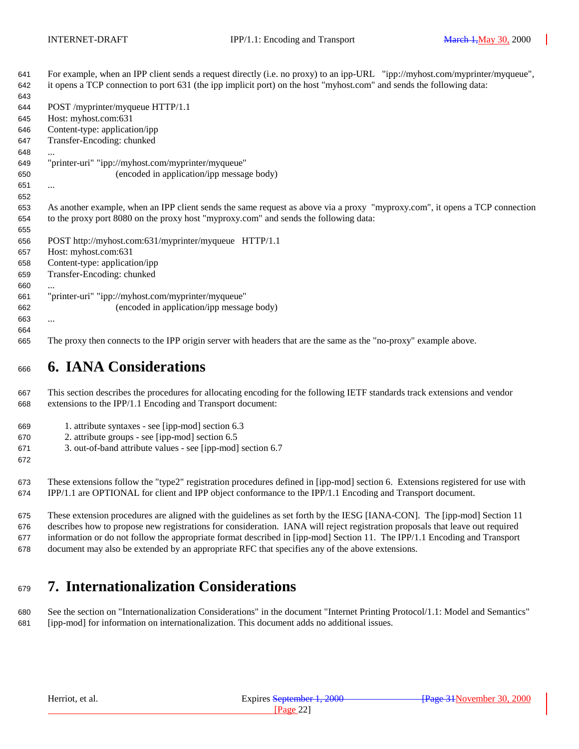<span id="page-21-0"></span> For example, when an IPP client sends a request directly (i.e. no proxy) to an ipp-URL "ipp://myhost.com/myprinter/myqueue", it opens a TCP connection to port 631 (the ipp implicit port) on the host "myhost.com" and sends the following data: POST /myprinter/myqueue HTTP/1.1 Host: myhost.com:631 Content-type: application/ipp Transfer-Encoding: chunked ... "printer-uri" "ipp://myhost.com/myprinter/myqueue" (encoded in application/ipp message body) ... As another example, when an IPP client sends the same request as above via a proxy "myproxy.com", it opens a TCP connection to the proxy port 8080 on the proxy host "myproxy.com" and sends the following data: POST http://myhost.com:631/myprinter/myqueue HTTP/1.1 Host: myhost.com:631 Content-type: application/ipp Transfer-Encoding: chunked ... "printer-uri" "ipp://myhost.com/myprinter/myqueue" (encoded in application/ipp message body) ... The proxy then connects to the IPP origin server with headers that are the same as the "no-proxy" example above.

# **6. IANA Considerations**

 This section describes the procedures for allocating encoding for the following IETF standards track extensions and vendor extensions to the IPP/1.1 Encoding and Transport document:

- 1. attribute syntaxes see [ipp-mod] section 6.3
- 2. attribute groups see [ipp-mod] section 6.5
- 3. out-of-band attribute values see [ipp-mod] section 6.7

 These extensions follow the "type2" registration procedures defined in [ipp-mod] section 6. Extensions registered for use with IPP/1.1 are OPTIONAL for client and IPP object conformance to the IPP/1.1 Encoding and Transport document.

 These extension procedures are aligned with the guidelines as set forth by the IESG [IANA-CON]. The [ipp-mod] Section 11 describes how to propose new registrations for consideration. IANA will reject registration proposals that leave out required information or do not follow the appropriate format described in [ipp-mod] Section 11. The IPP/1.1 Encoding and Transport document may also be extended by an appropriate RFC that specifies any of the above extensions.

# **7. Internationalization Considerations**

 See the section on "Internationalization Considerations" in the document "Internet Printing Protocol/1.1: Model and Semantics" [ipp-mod] for information on internationalization. This document adds no additional issues.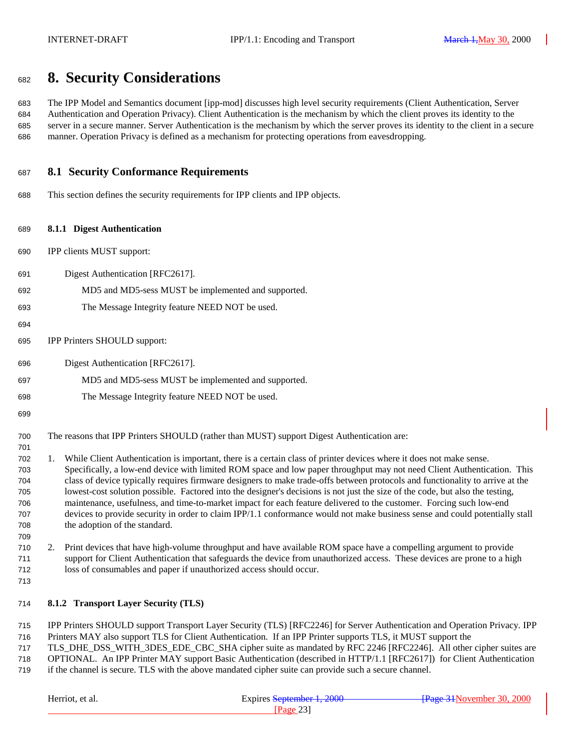# <span id="page-22-0"></span>**8. Security Considerations**

 The IPP Model and Semantics document [ipp-mod] discusses high level security requirements (Client Authentication, Server Authentication and Operation Privacy). Client Authentication is the mechanism by which the client proves its identity to the server in a secure manner. Server Authentication is the mechanism by which the server proves its identity to the client in a secure manner. Operation Privacy is defined as a mechanism for protecting operations from eavesdropping.

#### **8.1 Security Conformance Requirements**

This section defines the security requirements for IPP clients and IPP objects.

#### **8.1.1 Digest Authentication**

- IPP clients MUST support:
- Digest Authentication [RFC2617].
- MD5 and MD5-sess MUST be implemented and supported.
- The Message Integrity feature NEED NOT be used.
- 
- IPP Printers SHOULD support:
- Digest Authentication [RFC2617].
- MD5 and MD5-sess MUST be implemented and supported.
- The Message Integrity feature NEED NOT be used.
- 

- The reasons that IPP Printers SHOULD (rather than MUST) support Digest Authentication are:
- 1. While Client Authentication is important, there is a certain class of printer devices where it does not make sense. Specifically, a low-end device with limited ROM space and low paper throughput may not need Client Authentication. This class of device typically requires firmware designers to make trade-offs between protocols and functionality to arrive at the lowest-cost solution possible. Factored into the designer's decisions is not just the size of the code, but also the testing, maintenance, usefulness, and time-to-market impact for each feature delivered to the customer. Forcing such low-end devices to provide security in order to claim IPP/1.1 conformance would not make business sense and could potentially stall the adoption of the standard.
- 2. Print devices that have high-volume throughput and have available ROM space have a compelling argument to provide support for Client Authentication that safeguards the device from unauthorized access. These devices are prone to a high loss of consumables and paper if unauthorized access should occur.
- 

#### **8.1.2 Transport Layer Security (TLS)**

- IPP Printers SHOULD support Transport Layer Security (TLS) [RFC2246] for Server Authentication and Operation Privacy. IPP Printers MAY also support TLS for Client Authentication. If an IPP Printer supports TLS, it MUST support the
- TLS\_DHE\_DSS\_WITH\_3DES\_EDE\_CBC\_SHA cipher suite as mandated by RFC 2246 [RFC2246]. All other cipher suites are OPTIONAL. An IPP Printer MAY support Basic Authentication (described in HTTP/1.1 [RFC2617]) for Client Authentication
- if the channel is secure. TLS with the above mandated cipher suite can provide such a secure channel.

| Herriot, et al. | Expires September 1, 2000 | -Frage 34November 30, 2000 |  |
|-----------------|---------------------------|----------------------------|--|
|                 | Page 231                  |                            |  |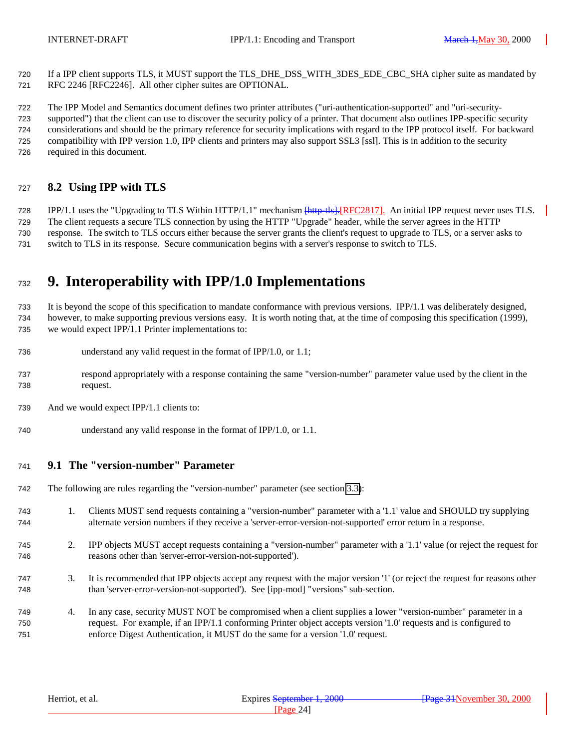<span id="page-23-0"></span> If a IPP client supports TLS, it MUST support the TLS\_DHE\_DSS\_WITH\_3DES\_EDE\_CBC\_SHA cipher suite as mandated by RFC 2246 [RFC2246]. All other cipher suites are OPTIONAL.

 The IPP Model and Semantics document defines two printer attributes ("uri-authentication-supported" and "uri-security- supported") that the client can use to discover the security policy of a printer. That document also outlines IPP-specific security considerations and should be the primary reference for security implications with regard to the IPP protocol itself. For backward compatibility with IPP version 1.0, IPP clients and printers may also support SSL3 [ssl]. This is in addition to the security required in this document.

### **8.2 Using IPP with TLS**

728 IPP/1.1 uses the "Upgrading to TLS Within HTTP/1.1" mechanism  $\frac{\mu_{\text{H}}}{\mu_{\text{H}}}}$  [RFC2817]. An initial IPP request never uses TLS. The client requests a secure TLS connection by using the HTTP "Upgrade" header, while the server agrees in the HTTP response. The switch to TLS occurs either because the server grants the client's request to upgrade to TLS, or a server asks to switch to TLS in its response. Secure communication begins with a server's response to switch to TLS.

# **9. Interoperability with IPP/1.0 Implementations**

 It is beyond the scope of this specification to mandate conformance with previous versions. IPP/1.1 was deliberately designed, however, to make supporting previous versions easy. It is worth noting that, at the time of composing this specification (1999), we would expect IPP/1.1 Printer implementations to:

- understand any valid request in the format of IPP/1.0, or 1.1;
- respond appropriately with a response containing the same "version-number" parameter value used by the client in the request.
- And we would expect IPP/1.1 clients to:
- understand any valid response in the format of IPP/1.0, or 1.1.

#### **9.1 The "version-number" Parameter**

- The following are rules regarding the "version-number" parameter (see section [3.3\)](#page-11-0):
- 1. Clients MUST send requests containing a "version-number" parameter with a '1.1' value and SHOULD try supplying alternate version numbers if they receive a 'server-error-version-not-supported' error return in a response.
- 2. IPP objects MUST accept requests containing a "version-number" parameter with a '1.1' value (or reject the request for reasons other than 'server-error-version-not-supported').
- 3. It is recommended that IPP objects accept any request with the major version '1' (or reject the request for reasons other than 'server-error-version-not-supported'). See [ipp-mod] "versions" sub-section.
- 4. In any case, security MUST NOT be compromised when a client supplies a lower "version-number" parameter in a request. For example, if an IPP/1.1 conforming Printer object accepts version '1.0' requests and is configured to enforce Digest Authentication, it MUST do the same for a version '1.0' request.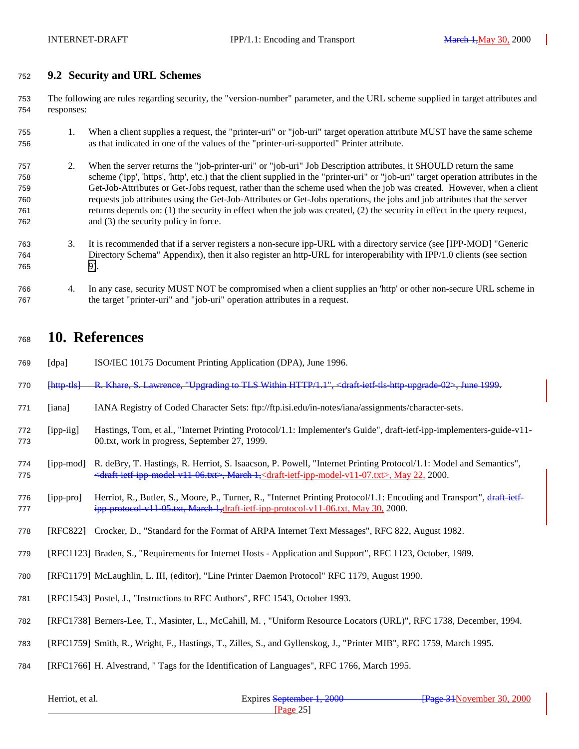### <span id="page-24-0"></span>**9.2 Security and URL Schemes**

 The following are rules regarding security, the "version-number" parameter, and the URL scheme supplied in target attributes and responses:

- 1. When a client supplies a request, the "printer-uri" or "job-uri" target operation attribute MUST have the same scheme as that indicated in one of the values of the "printer-uri-supported" Printer attribute.
- 2. When the server returns the "job-printer-uri" or "job-uri" Job Description attributes, it SHOULD return the same scheme ('ipp', 'https', 'http', etc.) that the client supplied in the "printer-uri" or "job-uri" target operation attributes in the Get-Job-Attributes or Get-Jobs request, rather than the scheme used when the job was created. However, when a client requests job attributes using the Get-Job-Attributes or Get-Jobs operations, the jobs and job attributes that the server returns depends on: (1) the security in effect when the job was created, (2) the security in effect in the query request, and (3) the security policy in force.
- 3. It is recommended that if a server registers a non-secure ipp-URL with a directory service (see [IPP-MOD] "Generic Directory Schema" Appendix), then it also register an http-URL for interoperability with IPP/1.0 clients (see section [9\)](#page-23-0).
- 4. In any case, security MUST NOT be compromised when a client supplies an 'http' or other non-secure URL scheme in the target "printer-uri" and "job-uri" operation attributes in a request.

## **10. References**

- [dpa] ISO/IEC 10175 Document Printing Application (DPA), June 1996.
- [http-tls] R. Khare, S. Lawrence, "Upgrading to TLS Within HTTP/1.1", <draft-ietf-tls-http-upgrade-02>, June 1999.
- [iana] IANA Registry of Coded Character Sets: ftp://ftp.isi.edu/in-notes/iana/assignments/character-sets.
- [ipp-iig] Hastings, Tom, et al., "Internet Printing Protocol/1.1: Implementer's Guide", draft-ietf-ipp-implementers-guide-v11- 00.txt, work in progress, September 27, 1999.
- [ipp-mod] R. deBry, T. Hastings, R. Herriot, S. Isaacson, P. Powell, "Internet Printing Protocol/1.1: Model and Semantics", <draft-ietf-ipp-model-v11-06.txt>, March 1,<draft-ietf-ipp-model-v11-07.txt>, May 22, 2000.
- 776 [ipp-pro] Herriot, R., Butler, S., Moore, P., Turner, R., "Internet Printing Protocol/1.1: Encoding and Transport", draft-jetf-777 ipp-protocol-v11-05.txt, March 1,draft-ietf-ipp-protocol-v11-06.txt, May 30, 2000.
- [RFC822] Crocker, D., "Standard for the Format of ARPA Internet Text Messages", RFC 822, August 1982.
- [RFC1123] Braden, S., "Requirements for Internet Hosts Application and Support", RFC 1123, October, 1989.
- [RFC1179] McLaughlin, L. III, (editor), "Line Printer Daemon Protocol" RFC 1179, August 1990.
- [RFC1543] Postel, J., "Instructions to RFC Authors", RFC 1543, October 1993.
- [RFC1738] Berners-Lee, T., Masinter, L., McCahill, M. , "Uniform Resource Locators (URL)", RFC 1738, December, 1994.
- [RFC1759] Smith, R., Wright, F., Hastings, T., Zilles, S., and Gyllenskog, J., "Printer MIB", RFC 1759, March 1995.
- [RFC1766] H. Alvestrand, " Tags for the Identification of Languages", RFC 1766, March 1995.

| Herriot, et al. | Expires September 1, 2000 | <del>- Page 31</del> November 30, 2000 |  |
|-----------------|---------------------------|----------------------------------------|--|
|                 | $P$ a $\sigma$ e          |                                        |  |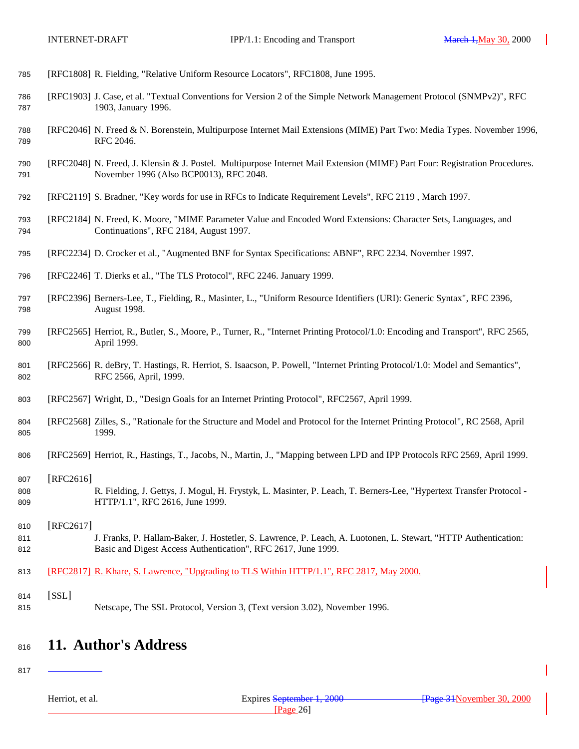<span id="page-25-0"></span>

| 785 |  | [RFC1808] R. Fielding, "Relative Uniform Resource Locators", RFC1808, June 1995. |  |
|-----|--|----------------------------------------------------------------------------------|--|
|     |  |                                                                                  |  |

- [RFC1903] J. Case, et al. "Textual Conventions for Version 2 of the Simple Network Management Protocol (SNMPv2)", RFC 1903, January 1996.
- [RFC2046] N. Freed & N. Borenstein, Multipurpose Internet Mail Extensions (MIME) Part Two: Media Types. November 1996, RFC 2046.
- [RFC2048] N. Freed, J. Klensin & J. Postel. Multipurpose Internet Mail Extension (MIME) Part Four: Registration Procedures. November 1996 (Also BCP0013), RFC 2048.
- [RFC2119] S. Bradner, "Key words for use in RFCs to Indicate Requirement Levels", RFC 2119 , March 1997.
- [RFC2184] N. Freed, K. Moore, "MIME Parameter Value and Encoded Word Extensions: Character Sets, Languages, and Continuations", RFC 2184, August 1997.
- [RFC2234] D. Crocker et al., "Augmented BNF for Syntax Specifications: ABNF", RFC 2234. November 1997.
- [RFC2246] T. Dierks et al., "The TLS Protocol", RFC 2246. January 1999.
- [RFC2396] Berners-Lee, T., Fielding, R., Masinter, L., "Uniform Resource Identifiers (URI): Generic Syntax", RFC 2396, August 1998.
- [RFC2565] Herriot, R., Butler, S., Moore, P., Turner, R., "Internet Printing Protocol/1.0: Encoding and Transport", RFC 2565, April 1999.
- [RFC2566] R. deBry, T. Hastings, R. Herriot, S. Isaacson, P. Powell, "Internet Printing Protocol/1.0: Model and Semantics", RFC 2566, April, 1999.
- [RFC2567] Wright, D., "Design Goals for an Internet Printing Protocol", RFC2567, April 1999.
- [RFC2568] Zilles, S., "Rationale for the Structure and Model and Protocol for the Internet Printing Protocol", RC 2568, April 1999.
- [RFC2569] Herriot, R., Hastings, T., Jacobs, N., Martin, J., "Mapping between LPD and IPP Protocols RFC 2569, April 1999.
- [RFC2616] R. Fielding, J. Gettys, J. Mogul, H. Frystyk, L. Masinter, P. Leach, T. Berners-Lee, "Hypertext Transfer Protocol - HTTP/1.1", RFC 2616, June 1999.
- [RFC2617] 811 J. Franks, P. Hallam-Baker, J. Hostetler, S. Lawrence, P. Leach, A. Luotonen, L. Stewart, "HTTP Authentication: Basic and Digest Access Authentication", RFC 2617, June 1999.
- [RFC2817] R. Khare, S. Lawrence, "Upgrading to TLS Within HTTP/1.1", RFC 2817, May 2000.
- [SSL] Netscape, The SSL Protocol, Version 3, (Text version 3.02), November 1996.

# **11. Author's Address**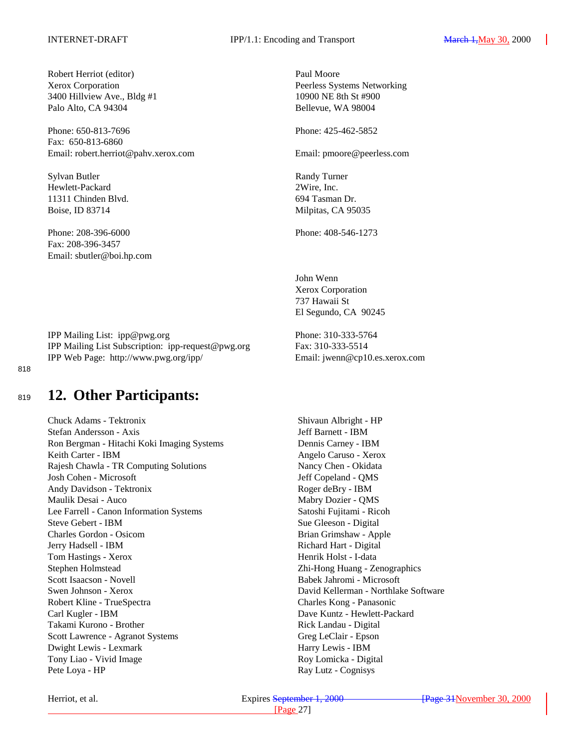<span id="page-26-0"></span>Robert Herriot (editor) Paul Moore 3400 Hillview Ave., Bldg #1 10900 NE 8th St #900 Palo Alto, CA 94304 Bellevue, WA 98004

Phone: 650-813-7696 Phone: 425-462-5852 Fax: 650-813-6860 Email: robert.herriot@pahv.xerox.com Email: pmoore@peerless.com

Sylvan Butler Randy Turner Hewlett-Packard 2Wire, Inc. 11311 Chinden Blvd. 694 Tasman Dr. Boise, ID 83714 Milpitas, CA 95035

Phone: 208-396-6000 Phone: 408-546-1273 Fax: 208-396-3457 Email: sbutler@boi.hp.com

IPP Mailing List: ipp@pwg.org Phone: 310-333-5764 IPP Mailing List Subscription: ipp-request@pwg.org Fax: 310-333-5514 IPP Web Page: http://www.pwg.org/ipp/ Email: jwenn@cp10.es.xerox.com

818

# <sup>819</sup> **12. Other Participants:**

Chuck Adams - Tektronix Shivaun Albright - HP Stefan Andersson - Axis Jeff Barnett - IBM Ron Bergman - Hitachi Koki Imaging Systems Dennis Carney - IBM Keith Carter - IBM Angelo Caruso - Xerox Rajesh Chawla - TR Computing Solutions Nancy Chen - Okidata Josh Cohen - Microsoft Jeff Copeland - QMS Andy Davidson - Tektronix Roger deBry - IBM Maulik Desai - Auco Mabry Dozier - QMS Lee Farrell - Canon Information Systems Satoshi Fujitami - Ricoh Steve Gebert - IBM Sue Gleeson - Digital Charles Gordon - Osicom Brian Grimshaw - Apple Jerry Hadsell - IBM Richard Hart - Digital Tom Hastings - Xerox Henrik Holst - I-data Stephen Holmstead Zhi-Hong Huang - Zenographics Scott Isaacson - Novell Babek Jahromi - Microsoft Swen Johnson - Xerox David Kellerman - Northlake Software Robert Kline - TrueSpectra Charles Kong - Panasonic Carl Kugler - IBM Dave Kuntz - Hewlett-Packard Takami Kurono - Brother Rick Landau - Digital Scott Lawrence - Agranot Systems Greg LeClair - Epson Dwight Lewis - Lexmark Harry Lewis - IBM Tony Liao - Vivid Image **Roy Lomicka** - Digital Pete Loya - HP Ray Lutz - Cognisys

Xerox Corporation Peerless Systems Networking

John Wenn Xerox Corporation 737 Hawaii St El Segundo, CA 90245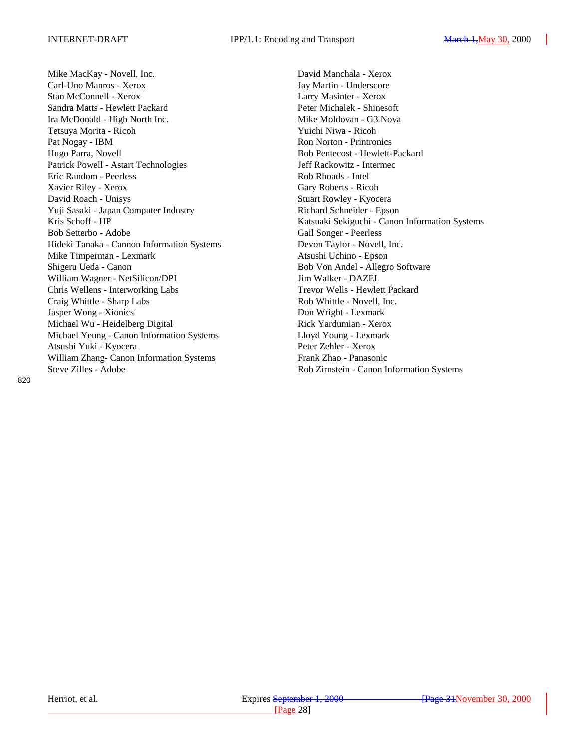Mike MacKay - Novell, Inc. **David Manchala - Xerox** David Manchala - Xerox Carl-Uno Manros - Xerox Jay Martin - Underscore Stan McConnell - Xerox Larry Masinter - Xerox Sandra Matts - Hewlett Packard Peter Michalek - Shinesoft Ira McDonald - High North Inc. Mike Moldovan - G3 Nova Tetsuya Morita - Ricoh Yuichi Niwa - Ricoh Pat Nogay - IBM Ron Norton - Printronics Hugo Parra, Novell Bob Pentecost - Hewlett-Packard Patrick Powell - Astart Technologies Jeff Rackowitz - Intermec Eric Random - Peerless Rob Rhoads - Intel Xavier Riley - Xerox Gary Roberts - Ricoh David Roach - Unisys Stuart Rowley - Kyocera Yuji Sasaki - Japan Computer Industry Richard Schneider - Epson Bob Setterbo - Adobe Gail Songer - Peerless Hideki Tanaka - Cannon Information Systems Devon Taylor - Novell, Inc. Mike Timperman - Lexmark Atsushi Uchino - Epson Shigeru Ueda - Canon Bob Von Andel - Allegro Software William Wagner - NetSilicon/DPI Jim Walker - DAZEL Chris Wellens - Interworking Labs Trevor Wells - Hewlett Packard Craig Whittle - Sharp Labs Rob Whittle - Novell, Inc. Jasper Wong - Xionics Don Wright - Lexmark Michael Wu - Heidelberg Digital Rick Yardumian - Xerox Michael Yeung - Canon Information Systems Lloyd Young - Lexmark Atsushi Yuki - Kyocera Peter Zehler - Xerox William Zhang- Canon Information Systems Frank Zhao - Panasonic Steve Zilles - Adobe Rob Zirnstein - Canon Information Systems

Kris Schoff - HP Katsuaki Sekiguchi - Canon Information Systems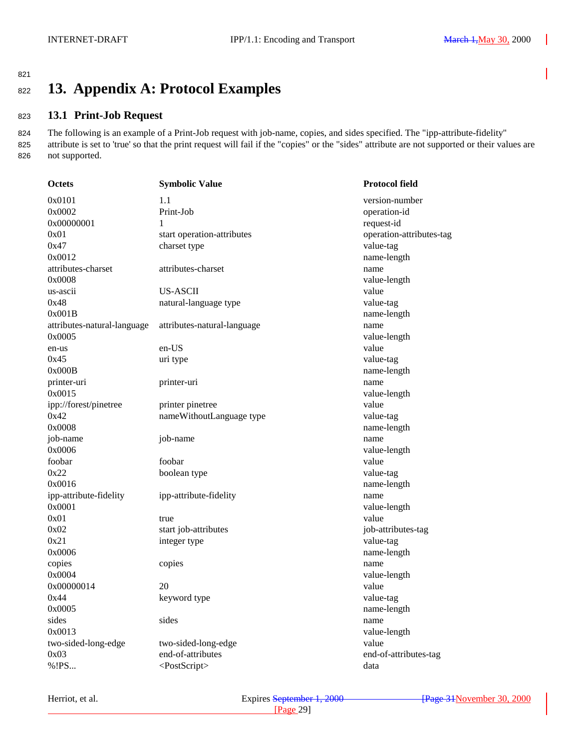### <span id="page-28-0"></span>821

# <sup>822</sup> **13. Appendix A: Protocol Examples**

### <sup>823</sup> **13.1 Print-Job Request**

824 The following is an example of a Print-Job request with job-name, copies, and sides specified. The "ipp-attribute-fidelity" 825 attribute is set to 'true' so that the print request will fail if the "copies" or the "sides" attribute are not supported or their values are 826 not supported.

| <b>Octets</b>               | <b>Symbolic Value</b>       | <b>Protocol field</b>    |
|-----------------------------|-----------------------------|--------------------------|
| 0x0101                      | 1.1                         | version-number           |
| 0x0002                      | Print-Job                   | operation-id             |
| 0x00000001                  | 1                           | request-id               |
| 0x01                        | start operation-attributes  | operation-attributes-tag |
| 0x47                        | charset type                | value-tag                |
| 0x0012                      |                             | name-length              |
| attributes-charset          | attributes-charset          | name                     |
| 0x0008                      |                             | value-length             |
| us-ascii                    | <b>US-ASCII</b>             | value                    |
| 0x48                        | natural-language type       | value-tag                |
| 0x001B                      |                             | name-length              |
| attributes-natural-language | attributes-natural-language | name                     |
| 0x0005                      |                             | value-length             |
| en-us                       | en-US                       | value                    |
| 0x45                        | uri type                    | value-tag                |
| 0x000B                      |                             | name-length              |
| printer-uri                 | printer-uri                 | name                     |
| 0x0015                      |                             | value-length             |
| ipp://forest/pinetree       | printer pinetree            | value                    |
| 0x42                        | nameWithoutLanguage type    | value-tag                |
| 0x0008                      |                             | name-length              |
| job-name                    | job-name                    | name                     |
| 0x0006                      |                             | value-length             |
| foobar                      | foobar                      | value                    |
| 0x22                        | boolean type                | value-tag                |
| 0x0016                      |                             | name-length              |
| ipp-attribute-fidelity      | ipp-attribute-fidelity      | name                     |
| 0x0001                      |                             | value-length             |
| 0x01                        | true                        | value                    |
| 0x02                        | start job-attributes        | job-attributes-tag       |
| 0x21                        | integer type                | value-tag                |
| 0x0006                      |                             | name-length              |
| copies                      | copies                      | name                     |
| 0x0004                      |                             | value-length             |
| 0x00000014                  | 20                          | value                    |
| 0x44                        | keyword type                | value-tag                |
| 0x0005                      |                             | name-length              |
| sides                       | sides                       | name                     |
| 0x0013                      |                             | value-length             |
| two-sided-long-edge         | two-sided-long-edge         | value                    |
| 0x03                        | end-of-attributes           | end-of-attributes-tag    |
| %!PS                        | <postscript></postscript>   | data                     |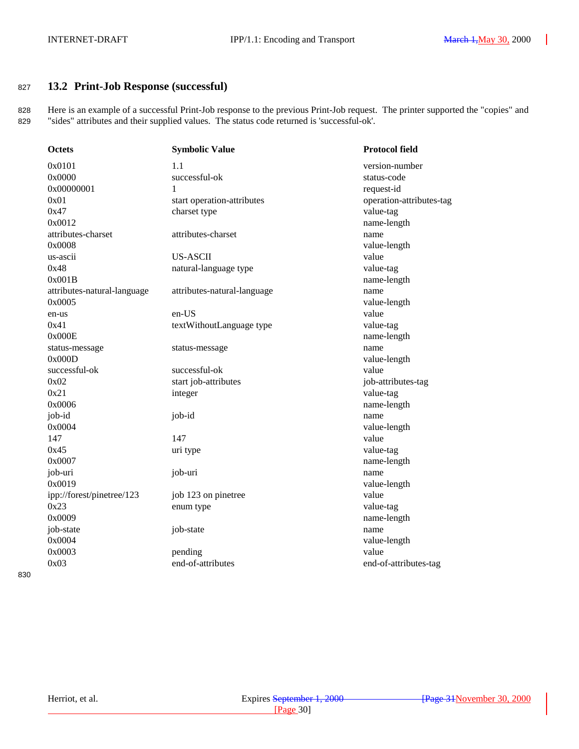### <span id="page-29-0"></span><sup>827</sup> **13.2 Print-Job Response (successful)**

828 Here is an example of a successful Print-Job response to the previous Print-Job request. The printer supported the "copies" and 829 "sides" attributes and their supplied values. The status code returned is 'successful-ok'.

| <b>Octets</b>               | <b>Symbolic Value</b>       | <b>Protocol field</b>    |
|-----------------------------|-----------------------------|--------------------------|
| 0x0101                      | 1.1                         | version-number           |
| 0x0000                      | successful-ok               | status-code              |
| 0x00000001                  | 1                           | request-id               |
| 0x01                        | start operation-attributes  | operation-attributes-tag |
| 0x47                        | charset type                | value-tag                |
| 0x0012                      |                             | name-length              |
| attributes-charset          | attributes-charset          | name                     |
| 0x0008                      |                             | value-length             |
| us-ascii                    | <b>US-ASCII</b>             | value                    |
| 0x48                        | natural-language type       | value-tag                |
| 0x001B                      |                             | name-length              |
| attributes-natural-language | attributes-natural-language | name                     |
| 0x0005                      |                             | value-length             |
| en-us                       | en-US                       | value                    |
| 0x41                        | textWithoutLanguage type    | value-tag                |
| 0x000E                      |                             | name-length              |
| status-message              | status-message              | name                     |
| 0x000D                      |                             | value-length             |
| successful-ok               | successful-ok               | value                    |
| 0x02                        | start job-attributes        | job-attributes-tag       |
| 0x21                        | integer                     | value-tag                |
| 0x0006                      |                             | name-length              |
| job-id                      | job-id                      | name                     |
| 0x0004                      |                             | value-length             |
| 147                         | 147                         | value                    |
| 0x45                        | uri type                    | value-tag                |
| 0x0007                      |                             | name-length              |
| job-uri                     | job-uri                     | name                     |
| 0x0019                      |                             | value-length             |
| ipp://forest/pinetree/123   | job 123 on pinetree         | value                    |
| 0x23                        | enum type                   | value-tag                |
| 0x0009                      |                             | name-length              |
| job-state                   | job-state                   | name                     |
| 0x0004                      |                             | value-length             |
| 0x0003                      | pending                     | value                    |
| 0x03                        | end-of-attributes           | end-of-attributes-tag    |
|                             |                             |                          |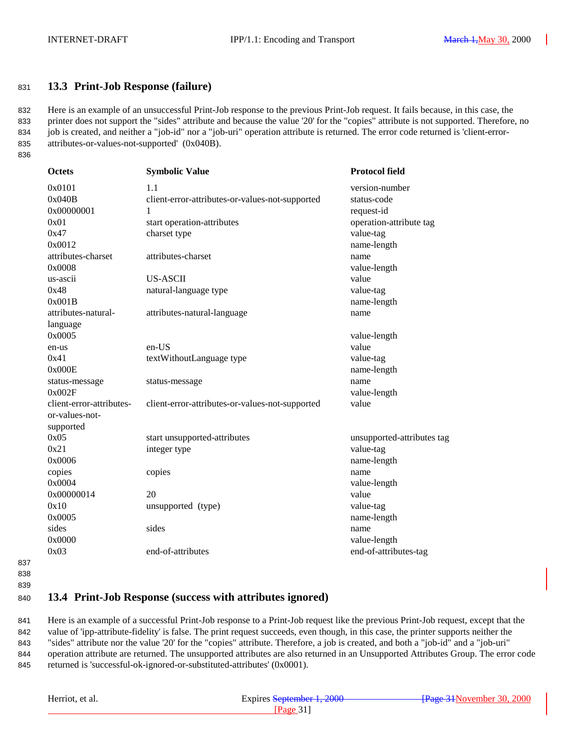#### <span id="page-30-0"></span><sup>831</sup> **13.3 Print-Job Response (failure)**

 Here is an example of an unsuccessful Print-Job response to the previous Print-Job request. It fails because, in this case, the printer does not support the "sides" attribute and because the value '20' for the "copies" attribute is not supported. Therefore, no job is created, and neither a "job-id" nor a "job-uri" operation attribute is returned. The error code returned is 'client-error-attributes-or-values-not-supported' (0x040B).

|              | ×            |              |
|--------------|--------------|--------------|
| I<br>×<br>۰, | I<br>×<br>۰. | I<br>۰.<br>× |

| <b>Octets</b>            | <b>Symbolic Value</b>                           | <b>Protocol field</b>      |
|--------------------------|-------------------------------------------------|----------------------------|
| 0x0101                   | 1.1                                             | version-number             |
| 0x040B                   | client-error-attributes-or-values-not-supported | status-code                |
| 0x00000001               | 1                                               | request-id                 |
| 0x01                     | start operation-attributes                      | operation-attribute tag    |
| 0x47                     | charset type                                    | value-tag                  |
| 0x0012                   |                                                 | name-length                |
| attributes-charset       | attributes-charset                              | name                       |
| 0x0008                   |                                                 | value-length               |
| us-ascii                 | <b>US-ASCII</b>                                 | value                      |
| 0x48                     | natural-language type                           | value-tag                  |
| 0x001B                   |                                                 | name-length                |
| attributes-natural-      | attributes-natural-language                     | name                       |
| language                 |                                                 |                            |
| 0x0005                   |                                                 | value-length               |
| en-us                    | en-US                                           | value                      |
| 0x41                     | textWithoutLanguage type                        | value-tag                  |
| 0x000E                   |                                                 | name-length                |
| status-message           | status-message                                  | name                       |
| 0x002F                   |                                                 | value-length               |
| client-error-attributes- | client-error-attributes-or-values-not-supported | value                      |
| or-values-not-           |                                                 |                            |
| supported                |                                                 |                            |
| 0x05                     | start unsupported-attributes                    | unsupported-attributes tag |
| 0x21                     | integer type                                    | value-tag                  |
| 0x0006                   |                                                 | name-length                |
| copies                   | copies                                          | name                       |
| 0x0004                   |                                                 | value-length               |
| 0x00000014               | 20                                              | value                      |
| 0x10                     | unsupported (type)                              | value-tag                  |
| 0x0005                   |                                                 | name-length                |
| sides                    | sides                                           | name                       |
| 0x0000                   |                                                 | value-length               |
| 0x03                     | end-of-attributes                               | end-of-attributes-tag      |

#### 837 838

839

#### <sup>840</sup> **13.4 Print-Job Response (success with attributes ignored)**

 Here is an example of a successful Print-Job response to a Print-Job request like the previous Print-Job request, except that the value of 'ipp-attribute-fidelity' is false. The print request succeeds, even though, in this case, the printer supports neither the "sides" attribute nor the value '20' for the "copies" attribute. Therefore, a job is created, and both a "job-id" and a "job-uri" operation attribute are returned. The unsupported attributes are also returned in an Unsupported Attributes Group. The error code 845 returned is 'successful-ok-ignored-or-substituted-attributes' (0x0001).

| Herriot<br>et a<br>. | September 1, 2000<br>Expires September 1 | - 2000<br>30 °<br><b>Dogo</b><br>$\cdots$ November |
|----------------------|------------------------------------------|----------------------------------------------------|
|                      | $\alpha$ eu                              |                                                    |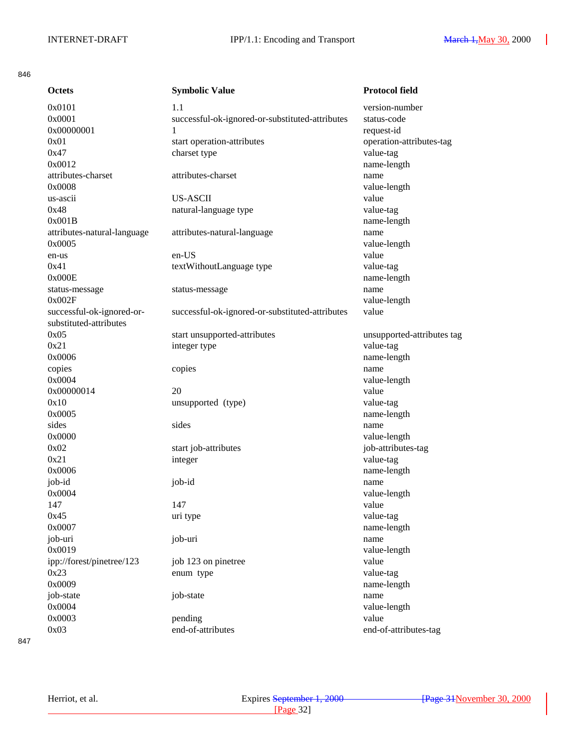#### 846

| <b>Octets</b>               | <b>Symbolic Value</b>                           | <b>Protocol field</b>      |
|-----------------------------|-------------------------------------------------|----------------------------|
| 0x0101                      | 1.1                                             | version-number             |
| 0x0001                      | successful-ok-ignored-or-substituted-attributes | status-code                |
| 0x00000001                  | 1                                               | request-id                 |
| 0x01                        | start operation-attributes                      | operation-attributes-tag   |
| 0x47                        | charset type                                    | value-tag                  |
| 0x0012                      |                                                 | name-length                |
| attributes-charset          | attributes-charset                              | name                       |
| 0x0008                      |                                                 | value-length               |
| us-ascii                    | <b>US-ASCII</b>                                 | value                      |
| 0x48                        | natural-language type                           | value-tag                  |
| 0x001B                      |                                                 | name-length                |
| attributes-natural-language | attributes-natural-language                     | name                       |
| 0x0005                      |                                                 | value-length               |
| en-us                       | en-US                                           | value                      |
| 0x41                        | textWithoutLanguage type                        | value-tag                  |
| 0x000E                      |                                                 | name-length                |
| status-message              | status-message                                  | name                       |
| 0x002F                      |                                                 | value-length               |
| successful-ok-ignored-or-   | successful-ok-ignored-or-substituted-attributes | value                      |
| substituted-attributes      |                                                 |                            |
| 0x05                        | start unsupported-attributes                    | unsupported-attributes tag |
| 0x21                        | integer type                                    | value-tag                  |
| 0x0006                      |                                                 | name-length                |
| copies                      | copies                                          | name                       |
| 0x0004                      |                                                 | value-length               |
| 0x00000014                  | 20                                              | value                      |
| 0x10                        | unsupported (type)                              | value-tag                  |
| 0x0005                      |                                                 | name-length                |
| sides                       | sides                                           | name                       |
| 0x0000                      |                                                 | value-length               |
| 0x02                        | start job-attributes                            | job-attributes-tag         |
| 0x21                        | integer                                         | value-tag                  |
| 0x0006                      |                                                 | name-length                |
| job-id                      | job-id                                          | name                       |
| 0x0004                      |                                                 | value-length               |
| 147                         | 147                                             | value                      |
| 0x45                        | uri type                                        | value-tag                  |
| 0x0007                      |                                                 | name-length                |
| job-uri                     | job-uri                                         | name                       |
| 0x0019                      |                                                 | value-length               |
| ipp://forest/pinetree/123   | job 123 on pinetree                             | value                      |
| 0x23                        | enum type                                       | value-tag                  |
| 0x0009                      |                                                 | name-length                |
| job-state                   | job-state                                       | name                       |
| 0x0004                      |                                                 | value-length               |
| 0x0003                      | pending                                         | value                      |
| 0x03                        | end-of-attributes                               | end-of-attributes-tag      |
|                             |                                                 |                            |

847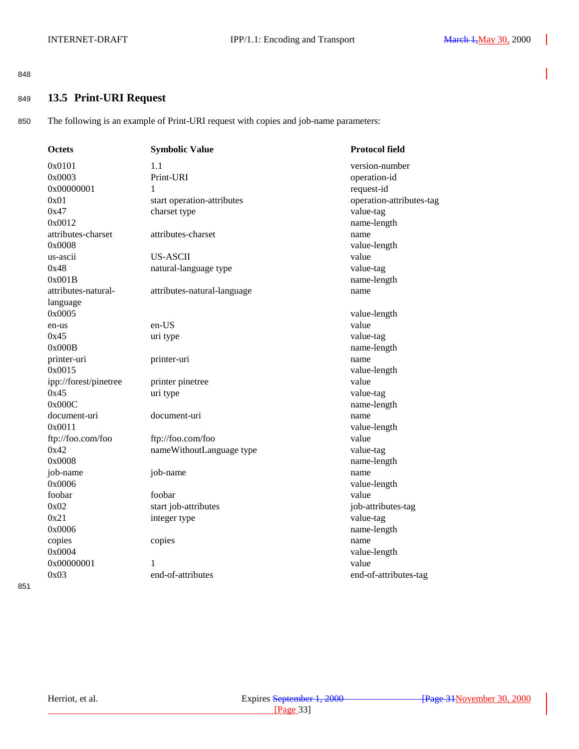#### <span id="page-32-0"></span>848

### <sup>849</sup> **13.5 Print-URI Request**

850 The following is an example of Print-URI request with copies and job-name parameters:

| <b>Octets</b>         | <b>Symbolic Value</b>       | <b>Protocol field</b>           |
|-----------------------|-----------------------------|---------------------------------|
| 0x0101                | 1.1                         | version-number                  |
| 0x0003                | Print-URI                   | operation-id                    |
| 0x00000001            | 1                           | request-id                      |
| 0x01                  | start operation-attributes  | operation-attributes-tag        |
| 0x47                  | charset type                | value-tag                       |
| 0x0012                |                             | name-length                     |
| attributes-charset    | attributes-charset          | name                            |
| 0x0008                |                             | value-length                    |
| us-ascii              | <b>US-ASCII</b>             | value                           |
| 0x48                  | natural-language type       | value-tag                       |
| 0x001B                |                             | name-length                     |
| attributes-natural-   | attributes-natural-language | name                            |
| language              |                             |                                 |
| 0x0005                |                             | value-length                    |
| en-us                 | en-US                       | value                           |
| 0x45                  | uri type                    | value-tag                       |
| 0x000B                |                             | name-length                     |
| printer-uri           | printer-uri                 | name                            |
| 0x0015                |                             | value-length                    |
| ipp://forest/pinetree | printer pinetree            | value                           |
| 0x45                  | uri type                    | value-tag                       |
| 0x000C                |                             | name-length                     |
| document-uri          | document-uri                | name                            |
| 0x0011                |                             | value-length                    |
| ftp://foo.com/foo     | ftp://foo.com/foo           | value                           |
| 0x42                  | nameWithoutLanguage type    | value-tag                       |
| 0x0008                |                             | name-length                     |
| job-name<br>0x0006    | job-name                    | name                            |
| foobar                | foobar                      | value-length<br>value           |
| 0x02                  | start job-attributes        |                                 |
| 0x21                  | integer type                | job-attributes-tag<br>value-tag |
| 0x0006                |                             | name-length                     |
|                       |                             | name                            |
| copies<br>0x0004      | copies                      | value-length                    |
| 0x00000001            | 1                           | value                           |
| 0x03                  | end-of-attributes           | end-of-attributes-tag           |
|                       |                             |                                 |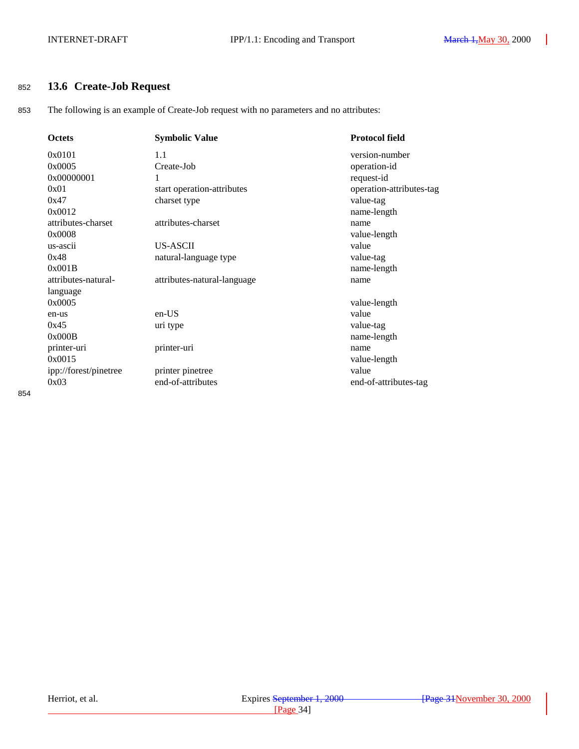### <span id="page-33-0"></span><sup>852</sup> **13.6 Create-Job Request**

853 The following is an example of Create-Job request with no parameters and no attributes:

| <b>Octets</b>         | <b>Symbolic Value</b>       | <b>Protocol field</b>    |
|-----------------------|-----------------------------|--------------------------|
| 0x0101                | 1.1                         | version-number           |
| 0x0005                | Create-Job                  | operation-id             |
| 0x00000001            |                             | request-id               |
| 0x01                  | start operation-attributes  | operation-attributes-tag |
| 0x47                  | charset type                | value-tag                |
| 0x0012                |                             | name-length              |
| attributes-charset    | attributes-charset          | name                     |
| 0x0008                |                             | value-length             |
| us-ascii              | <b>US-ASCII</b>             | value                    |
| 0x48                  | natural-language type       | value-tag                |
| 0x001B                |                             | name-length              |
| attributes-natural-   | attributes-natural-language | name                     |
| language              |                             |                          |
| 0x0005                |                             | value-length             |
| en-us                 | en-US                       | value                    |
| 0x45                  | uri type                    | value-tag                |
| 0x000B                |                             | name-length              |
| printer-uri           | printer-uri                 | name                     |
| 0x0015                |                             | value-length             |
| ipp://forest/pinetree | printer pinetree            | value                    |
| 0x03                  | end-of-attributes           | end-of-attributes-tag    |

854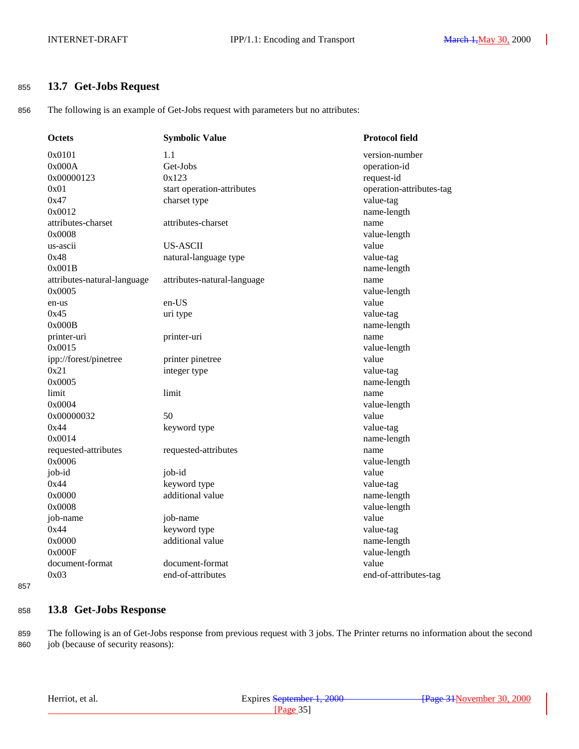### <span id="page-34-0"></span><sup>855</sup> **13.7 Get-Jobs Request**

856 The following is an example of Get-Jobs request with parameters but no attributes:

| Octets                      | <b>Symbolic Value</b>       | <b>Protocol field</b>    |
|-----------------------------|-----------------------------|--------------------------|
| 0x0101                      | 1.1                         | version-number           |
| 0x000A                      | Get-Jobs                    | operation-id             |
| 0x00000123                  | 0x123                       | request-id               |
| 0x01                        | start operation-attributes  | operation-attributes-tag |
| 0x47                        | charset type                | value-tag                |
| 0x0012                      |                             | name-length              |
| attributes-charset          | attributes-charset          | name                     |
| 0x0008                      |                             | value-length             |
| us-ascii                    | <b>US-ASCII</b>             | value                    |
| 0x48                        | natural-language type       | value-tag                |
| 0x001B                      |                             | name-length              |
| attributes-natural-language | attributes-natural-language | name                     |
| 0x0005                      |                             | value-length             |
| en-us                       | en-US                       | value                    |
| 0x45                        | uri type                    | value-tag                |
| 0x000B                      |                             | name-length              |
| printer-uri                 | printer-uri                 | name                     |
| 0x0015                      |                             | value-length             |
| ipp://forest/pinetree       | printer pinetree            | value                    |
| 0x21                        | integer type                | value-tag                |
| 0x0005                      |                             | name-length              |
| limit                       | limit                       | name                     |
| 0x0004                      |                             | value-length             |
| 0x00000032                  | 50                          | value                    |
| 0x44                        | keyword type                | value-tag                |
| 0x0014                      |                             | name-length              |
| requested-attributes        | requested-attributes        | name                     |
| 0x0006                      |                             | value-length             |
| job-id                      | job-id                      | value                    |
| 0x44                        | keyword type                | value-tag                |
| 0x0000                      | additional value            | name-length              |
| 0x0008                      |                             | value-length             |
| job-name                    | job-name                    | value                    |
| 0x44                        | keyword type                | value-tag                |
| 0x0000                      | additional value            | name-length              |
| 0x000F                      |                             | value-length             |
| document-format             | document-format             | value                    |
| 0x03                        | end-of-attributes           | end-of-attributes-tag    |

857

### <sup>858</sup> **13.8 Get-Jobs Response**

859 The following is an of Get-Jobs response from previous request with 3 jobs. The Printer returns no information about the second 860 job (because of security reasons):

|  | Herriot, et al. |  |  |  |
|--|-----------------|--|--|--|
|--|-----------------|--|--|--|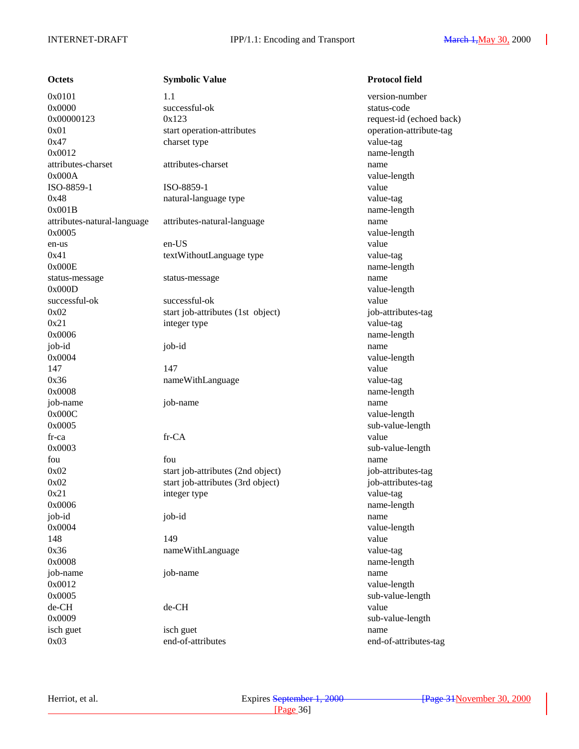**Octets Symbolic Value Protocol field**  $0x0101$  1.1 version-number 0x0000 successful-ok status-code  $0x00000123$   $0x123$  request-id (echoed back) 0x01 start operation-attributes operation-attribute-tag 0x47 charset type charset type value-tag 0x0012 name-length attributes-charset attributes-charset name 0x000A value-length ISO-8859-1 ISO-8859-1 value 0x48 natural-language type value-tag 0x001B name-length attributes-natural-language attributes-natural-language name 0x0005 value-length en-us en-US value 0x41 textWithoutLanguage type value-tag 0x000E name-length status-message status-message name 0x000D value-length successful-ok successful-ok value 0x02 start job-attributes (1st object) job-attributes-tag 0x21 integer type value-tag 0x0006 name-length job-id job-id name 0x0004 value-length 147 value 0x36 nameWithLanguage value-tag 0x0008 name-length job-name job-name name 0x000C value-length 0x0005 sub-value-length fr-ca fr-CA value 0x0003 sub-value-length fou **fou** fou **fou have the set of the set of the set of the set of the set of the set of the set of the set of the set of the set of the set of the set of the set of the set of the set of the set of the set of the set o** 0x02 start job-attributes (2nd object) job-attributes-tag 0x02 start job-attributes (3rd object) job-attributes-tag 0x21 integer type value-tag 0x0006 name-length job-id job-id name 0x0004 value-length 148 **149** value 0x36 nameWithLanguage value-tag 0x0008 name-length job-name job-name name 0x0012 value-length 0x0005 sub-value-length de-CH de-CH value 0x0009 sub-value-length isch guet isch guet name 0x03 end-of-attributes end-of-attributes-tag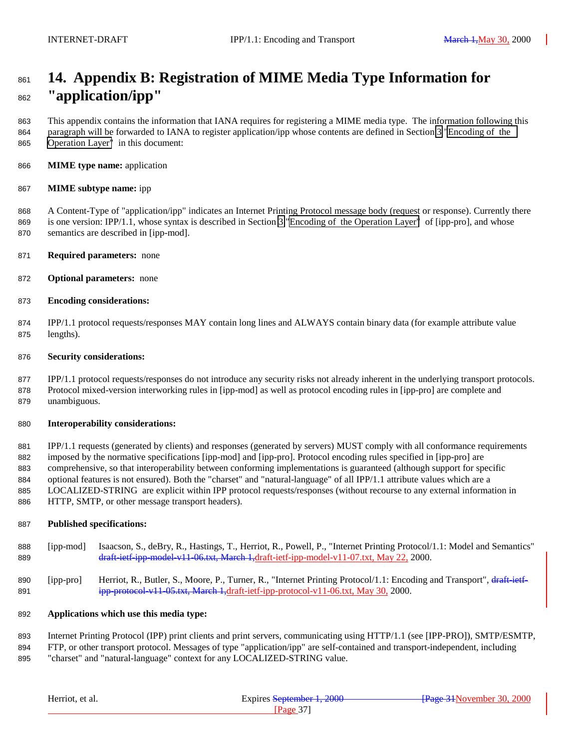# <span id="page-36-0"></span> **14. Appendix B: Registration of MIME Media Type Information for "application/ipp"**

 This appendix contains the information that IANA requires for registering a MIME media type. The information following this paragraph will be forwarded to IANA to register application/ipp whose contents are defined in Section [3 "Encoding of the](#page-4-0) [Operation Layer"](#page-4-0) in this document:

**MIME type name:** application

#### **MIME subtype name:** ipp

 A Content-Type of "application/ipp" indicates an Internet Printing Protocol message body (request or response). Currently there is one version: IPP/1.1, whose syntax is described in Section [3 "Encoding of the Operation Layer"](#page-4-0) of [ipp-pro], and whose semantics are described in [ipp-mod].

- **Required parameters:** none
- **Optional parameters:** none
- **Encoding considerations:**

 IPP/1.1 protocol requests/responses MAY contain long lines and ALWAYS contain binary data (for example attribute value lengths).

#### **Security considerations:**

 IPP/1.1 protocol requests/responses do not introduce any security risks not already inherent in the underlying transport protocols. Protocol mixed-version interworking rules in [ipp-mod] as well as protocol encoding rules in [ipp-pro] are complete and unambiguous.

#### **Interoperability considerations:**

 IPP/1.1 requests (generated by clients) and responses (generated by servers) MUST comply with all conformance requirements imposed by the normative specifications [ipp-mod] and [ipp-pro]. Protocol encoding rules specified in [ipp-pro] are comprehensive, so that interoperability between conforming implementations is guaranteed (although support for specific optional features is not ensured). Both the "charset" and "natural-language" of all IPP/1.1 attribute values which are a LOCALIZED-STRING are explicit within IPP protocol requests/responses (without recourse to any external information in HTTP, SMTP, or other message transport headers).

#### **Published specifications:**

- [ipp-mod] Isaacson, S., deBry, R., Hastings, T., Herriot, R., Powell, P., "Internet Printing Protocol/1.1: Model and Semantics" 889 draft-ietf-ipp-model-v11-06.txt, March 1,draft-ietf-ipp-model-v11-07.txt, May 22, 2000.
- 890 [ipp-pro] Herriot, R., Butler, S., Moore, P., Turner, R., "Internet Printing Protocol/1.1: Encoding and Transport", draft-ietf-ipp-protocol-v11-05.txt, March 1,draft-ietf-ipp-protocol-v11-06.txt, May 30, 2000.

#### **Applications which use this media type:**

Internet Printing Protocol (IPP) print clients and print servers, communicating using HTTP/1.1 (see [IPP-PRO]), SMTP/ESMTP,

 FTP, or other transport protocol. Messages of type "application/ipp" are self-contained and transport-independent, including "charset" and "natural-language" context for any LOCALIZED-STRING value.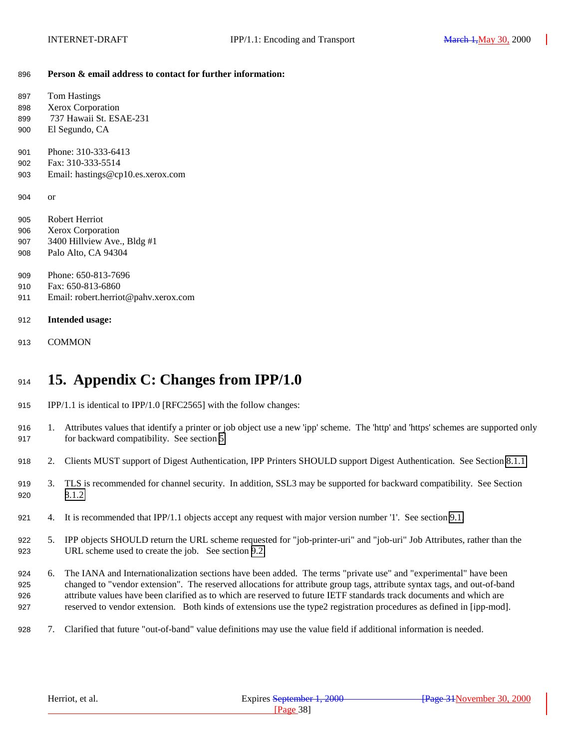#### <span id="page-37-0"></span>**Person & email address to contact for further information:**

| 897   | <b>Tom Hastings</b>                  |
|-------|--------------------------------------|
| 898   | Xerox Corporation                    |
| 899   | 737 Hawaii St. ESAE-231              |
| 900   | El Segundo, CA                       |
| 901   | Phone: 310-333-6413                  |
| 902   | Fax: 310-333-5514                    |
| 903   | Email: hastings@cp10.es.xerox.com    |
| 904   | <b>or</b>                            |
| 905   | Robert Herriot                       |
| 906   | <b>Xerox Corporation</b>             |
| 907   | 3400 Hillview Ave., Bldg #1          |
| 908   | Palo Alto, CA 94304                  |
| 909   | Phone: 650-813-7696                  |
| 910 — | Fax: 650-813-6860                    |
| 911   | Email: robert.herriot@pahv.xerox.com |
|       |                                      |
| 912   | Intended usage:                      |
| 913   | <b>COMMON</b>                        |
|       |                                      |

# **15. Appendix C: Changes from IPP/1.0**

- IPP/1.1 is identical to IPP/1.0 [RFC2565] with the follow changes:
- 1. Attributes values that identify a printer or job object use a new 'ipp' scheme. The 'http' and 'https' schemes are supported only for backward compatibility. See section [5.](#page-20-0)
- 2. Clients MUST support of Digest Authentication, IPP Printers SHOULD support Digest Authentication. See Section [8.1.1](#page-22-0)
- 3. TLS is recommended for channel security. In addition, SSL3 may be supported for backward compatibility. See Section [8.1.2](#page-22-0)
- 4. It is recommended that IPP/1.1 objects accept any request with major version number '1'. See section [9.1.](#page-23-0)
- 5. IPP objects SHOULD return the URL scheme requested for "job-printer-uri" and "job-uri" Job Attributes, rather than the URL scheme used to create the job. See section [9.2.](#page-24-0)
- 6. The IANA and Internationalization sections have been added. The terms "private use" and "experimental" have been changed to "vendor extension". The reserved allocations for attribute group tags, attribute syntax tags, and out-of-band attribute values have been clarified as to which are reserved to future IETF standards track documents and which are reserved to vendor extension. Both kinds of extensions use the type2 registration procedures as defined in [ipp-mod].
- 7. Clarified that future "out-of-band" value definitions may use the value field if additional information is needed.